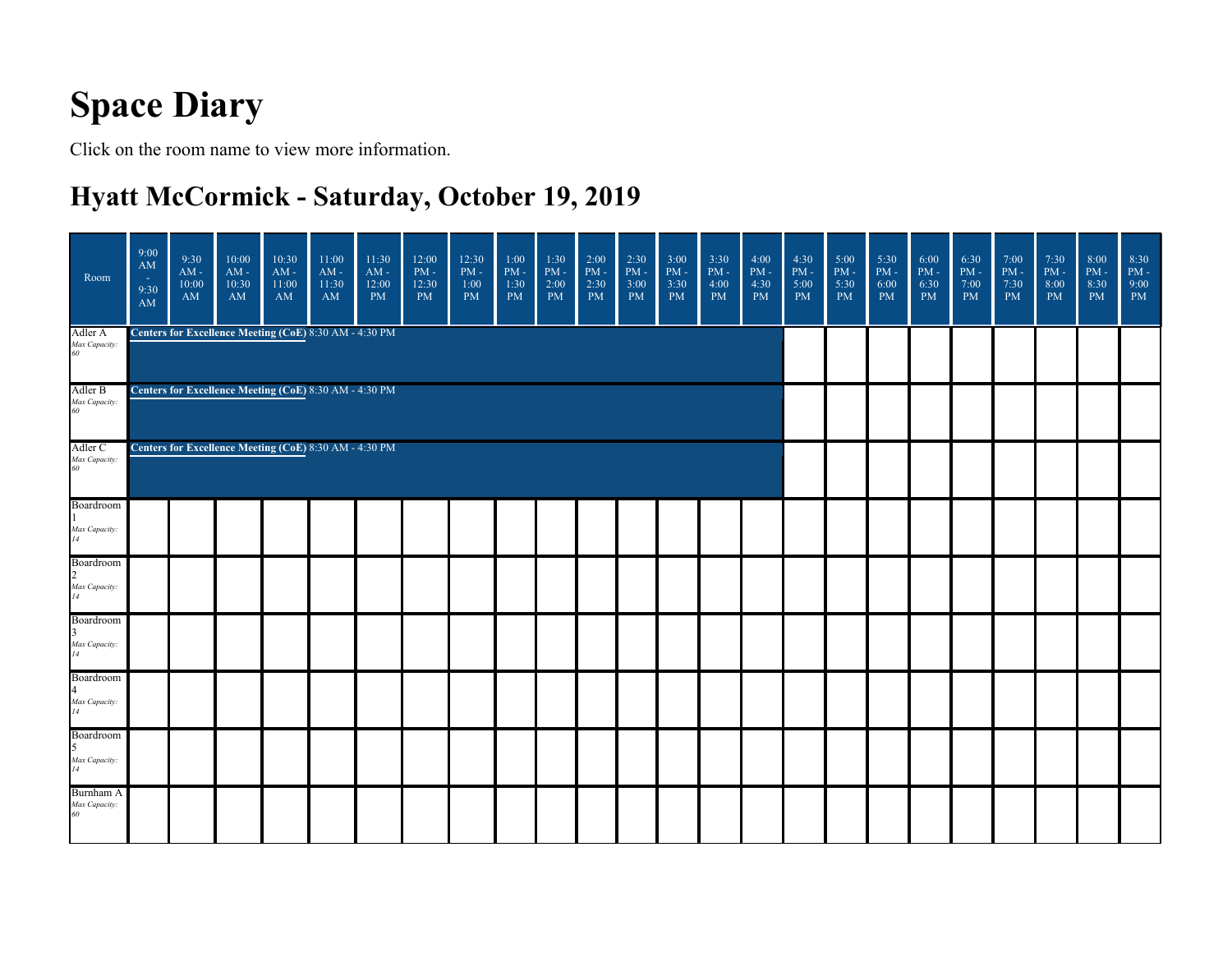## **Space Diary**

Click on the room name to view more information.

#### **Hyatt McCormick - Saturday, October 19, 2019**

| Room                                                            | 9:00<br>AM<br>r an<br>9:30<br>AM | 9:30<br>$\mathrm{AM}$ -<br>10:00<br>AM                                                                           | 10:00<br>$\mathbf{AM}$ -<br>10:30<br>AM                | 10:30<br>$AM -$<br>11:00<br>AM | 11:00<br>$\mathrm{AM}$ -<br>11:30<br>AM | 11:30<br>$\mathrm{AM}$ -<br>12:00<br>PM | 12:00<br>$PM -$<br>12:30<br>PM | 12:30<br>$PM -$<br>$1:00$<br>PM | 1:00<br>$\mathrm{PM}$ -<br>1:30<br><b>PM</b> | 1:30<br>$PM -$<br>2:00<br><b>PM</b> | 2:00<br>$\mathrm{PM}$ -<br>2:30<br>PM | 2:30<br>$PM -$<br>3:00<br><b>PM</b> | 3:00<br>$PM -$<br>3:30<br><b>PM</b> | 3:30<br>$\mathrm{PM}$ -<br>4:00<br>PM | 4:00<br>$\mathrm{PM}$ -<br>4:30<br><b>PM</b> | 4:30<br>$\mathrm{PM}$ -<br>5:00<br>PM | 5:00<br>$PM -$<br>5:30<br>PM | 5:30<br>$\mathrm{PM}$ -<br>6:00<br>PM | 6:00<br>$PM -$<br>6:30<br>PM | 6:30<br>$\mathrm{PM}$ -<br>7:00<br>PM | 7:00<br>$PM -$<br>7:30<br><b>PM</b> | 7:30<br>$\mathrm{PM}$ -<br>8:00<br>PM | 8:00<br>$PM -$<br>8:30<br><b>PM</b> | 8:30<br>$\mathrm{PM}$ -<br>9:00<br>PM |
|-----------------------------------------------------------------|----------------------------------|------------------------------------------------------------------------------------------------------------------|--------------------------------------------------------|--------------------------------|-----------------------------------------|-----------------------------------------|--------------------------------|---------------------------------|----------------------------------------------|-------------------------------------|---------------------------------------|-------------------------------------|-------------------------------------|---------------------------------------|----------------------------------------------|---------------------------------------|------------------------------|---------------------------------------|------------------------------|---------------------------------------|-------------------------------------|---------------------------------------|-------------------------------------|---------------------------------------|
| Adler A<br>Max Capacity:<br>60                                  |                                  |                                                                                                                  | Centers for Excellence Meeting (CoE) 8:30 AM - 4:30 PM |                                |                                         |                                         |                                |                                 |                                              |                                     |                                       |                                     |                                     |                                       |                                              |                                       |                              |                                       |                              |                                       |                                     |                                       |                                     |                                       |
| Adler B<br>Max Capacity:<br>60                                  |                                  | Centers for Excellence Meeting (CoE) 8:30 AM - 4:30 PM<br>Centers for Excellence Meeting (CoE) 8:30 AM - 4:30 PM |                                                        |                                |                                         |                                         |                                |                                 |                                              |                                     |                                       |                                     |                                     |                                       |                                              |                                       |                              |                                       |                              |                                       |                                     |                                       |                                     |                                       |
| Adler C<br>Max Capacity:<br>60                                  |                                  |                                                                                                                  |                                                        |                                |                                         |                                         |                                |                                 |                                              |                                     |                                       |                                     |                                     |                                       |                                              |                                       |                              |                                       |                              |                                       |                                     |                                       |                                     |                                       |
| Boardroom<br>Max Capacity:<br>$\overline{14}$                   |                                  |                                                                                                                  |                                                        |                                |                                         |                                         |                                |                                 |                                              |                                     |                                       |                                     |                                     |                                       |                                              |                                       |                              |                                       |                              |                                       |                                     |                                       |                                     |                                       |
| Boardroom<br>$\overline{2}$<br>Max Capacity:<br>14              |                                  |                                                                                                                  |                                                        |                                |                                         |                                         |                                |                                 |                                              |                                     |                                       |                                     |                                     |                                       |                                              |                                       |                              |                                       |                              |                                       |                                     |                                       |                                     |                                       |
| Boardroom<br>Max Capacity:<br>14                                |                                  |                                                                                                                  |                                                        |                                |                                         |                                         |                                |                                 |                                              |                                     |                                       |                                     |                                     |                                       |                                              |                                       |                              |                                       |                              |                                       |                                     |                                       |                                     |                                       |
| Boardroom<br>$\overline{4}$<br>Max Capacity:<br>$\overline{14}$ |                                  |                                                                                                                  |                                                        |                                |                                         |                                         |                                |                                 |                                              |                                     |                                       |                                     |                                     |                                       |                                              |                                       |                              |                                       |                              |                                       |                                     |                                       |                                     |                                       |
| Boardroom<br>Max Capacity:<br>14                                |                                  |                                                                                                                  |                                                        |                                |                                         |                                         |                                |                                 |                                              |                                     |                                       |                                     |                                     |                                       |                                              |                                       |                              |                                       |                              |                                       |                                     |                                       |                                     |                                       |
| Burnham A<br>Max Capacity:<br>60                                |                                  |                                                                                                                  |                                                        |                                |                                         |                                         |                                |                                 |                                              |                                     |                                       |                                     |                                     |                                       |                                              |                                       |                              |                                       |                              |                                       |                                     |                                       |                                     |                                       |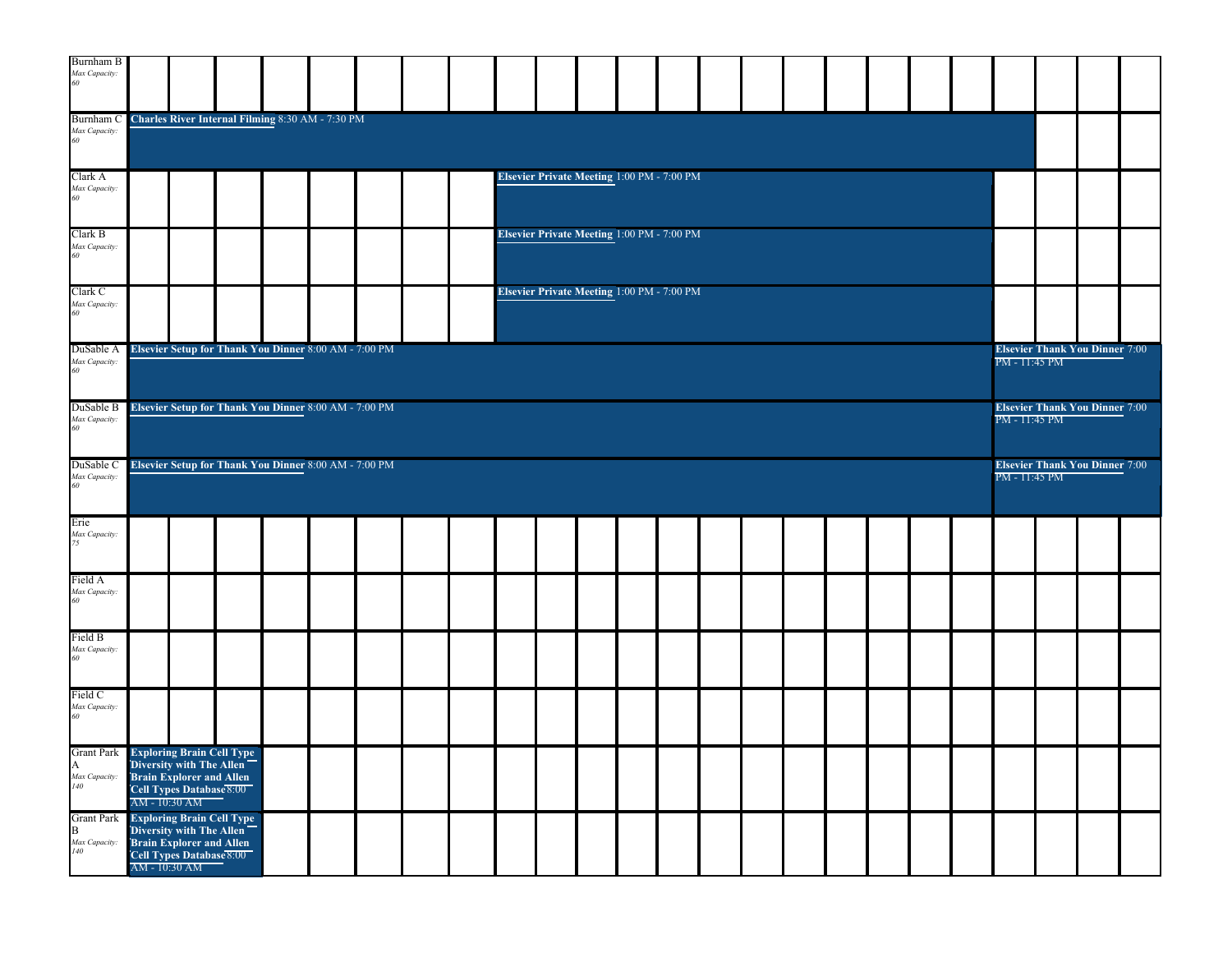| <b>Burnham B</b><br>Max Capacity:<br>60                                                                                                    | Charles River Internal Filming 8:30 AM - 7:30 PM<br>Elsevier Private Meeting 1:00 PM - 7:00 PM<br>Elsevier Private Meeting 1:00 PM - 7:00 PM<br>Elsevier Private Meeting 1:00 PM - 7:00 PM |                                                                                                                |  |  |  |  |  |  |  |  |  |  |  |  |  |  |               |                                       |               |                                       |  |
|--------------------------------------------------------------------------------------------------------------------------------------------|--------------------------------------------------------------------------------------------------------------------------------------------------------------------------------------------|----------------------------------------------------------------------------------------------------------------|--|--|--|--|--|--|--|--|--|--|--|--|--|--|---------------|---------------------------------------|---------------|---------------------------------------|--|
| Burnham C<br>Max Capacity:<br>60                                                                                                           |                                                                                                                                                                                            |                                                                                                                |  |  |  |  |  |  |  |  |  |  |  |  |  |  |               |                                       |               |                                       |  |
| Clark A<br>Max Capacity:<br>60                                                                                                             |                                                                                                                                                                                            |                                                                                                                |  |  |  |  |  |  |  |  |  |  |  |  |  |  |               |                                       |               |                                       |  |
| Clark B<br>Max Capacity:<br>60                                                                                                             |                                                                                                                                                                                            |                                                                                                                |  |  |  |  |  |  |  |  |  |  |  |  |  |  |               |                                       |               |                                       |  |
| Clark <sub>C</sub><br>Max Capacity:<br>60                                                                                                  |                                                                                                                                                                                            |                                                                                                                |  |  |  |  |  |  |  |  |  |  |  |  |  |  |               |                                       |               |                                       |  |
| DuSable A<br>Max Capacity:<br>60                                                                                                           |                                                                                                                                                                                            | Elsevier Setup for Thank You Dinner 8:00 AM - 7:00 PM<br>Elsevier Setup for Thank You Dinner 8:00 AM - 7:00 PM |  |  |  |  |  |  |  |  |  |  |  |  |  |  | PM - 11:45 PM | <b>Elsevier Thank You Dinner 7:00</b> |               |                                       |  |
| DuSable B<br>Max Capacity:<br>60                                                                                                           |                                                                                                                                                                                            | Elsevier Setup for Thank You Dinner 8:00 AM - 7:00 PM                                                          |  |  |  |  |  |  |  |  |  |  |  |  |  |  | PM - 11:45 PM | <b>Elsevier Thank You Dinner 7:00</b> |               |                                       |  |
| DuSable C<br>Max Capacity:<br>60                                                                                                           |                                                                                                                                                                                            |                                                                                                                |  |  |  |  |  |  |  |  |  |  |  |  |  |  |               |                                       | PM - 11:45 PM | <b>Elsevier Thank You Dinner 7:00</b> |  |
| Erie<br>Max Capacity:<br>75                                                                                                                |                                                                                                                                                                                            |                                                                                                                |  |  |  |  |  |  |  |  |  |  |  |  |  |  |               |                                       |               |                                       |  |
| Field A<br>Max Capacity:<br>60                                                                                                             |                                                                                                                                                                                            |                                                                                                                |  |  |  |  |  |  |  |  |  |  |  |  |  |  |               |                                       |               |                                       |  |
| Field B<br>Max Capacity:<br>60                                                                                                             |                                                                                                                                                                                            |                                                                                                                |  |  |  |  |  |  |  |  |  |  |  |  |  |  |               |                                       |               |                                       |  |
| Field C<br>Max Capacity:<br>60                                                                                                             |                                                                                                                                                                                            |                                                                                                                |  |  |  |  |  |  |  |  |  |  |  |  |  |  |               |                                       |               |                                       |  |
| Grant Park Exploring Brain Cell Type<br>A<br>Max Capacity:<br>140                                                                          |                                                                                                                                                                                            | Diversity with The Allen<br>Brain Explorer and Allen<br>Cell Types Database 8:00<br>AM - 10:30 AM              |  |  |  |  |  |  |  |  |  |  |  |  |  |  |               |                                       |               |                                       |  |
| Grant Park Exploring Brain Cell Type<br>B Diversity with The Allen<br>$\begin{array}{l} \textit{Max Capacity:}\\ \textit{140} \end{array}$ |                                                                                                                                                                                            | <b>Brain Explorer and Allen</b><br>Cell Types Database 8:00<br>AM - 10:30 AM                                   |  |  |  |  |  |  |  |  |  |  |  |  |  |  |               |                                       |               |                                       |  |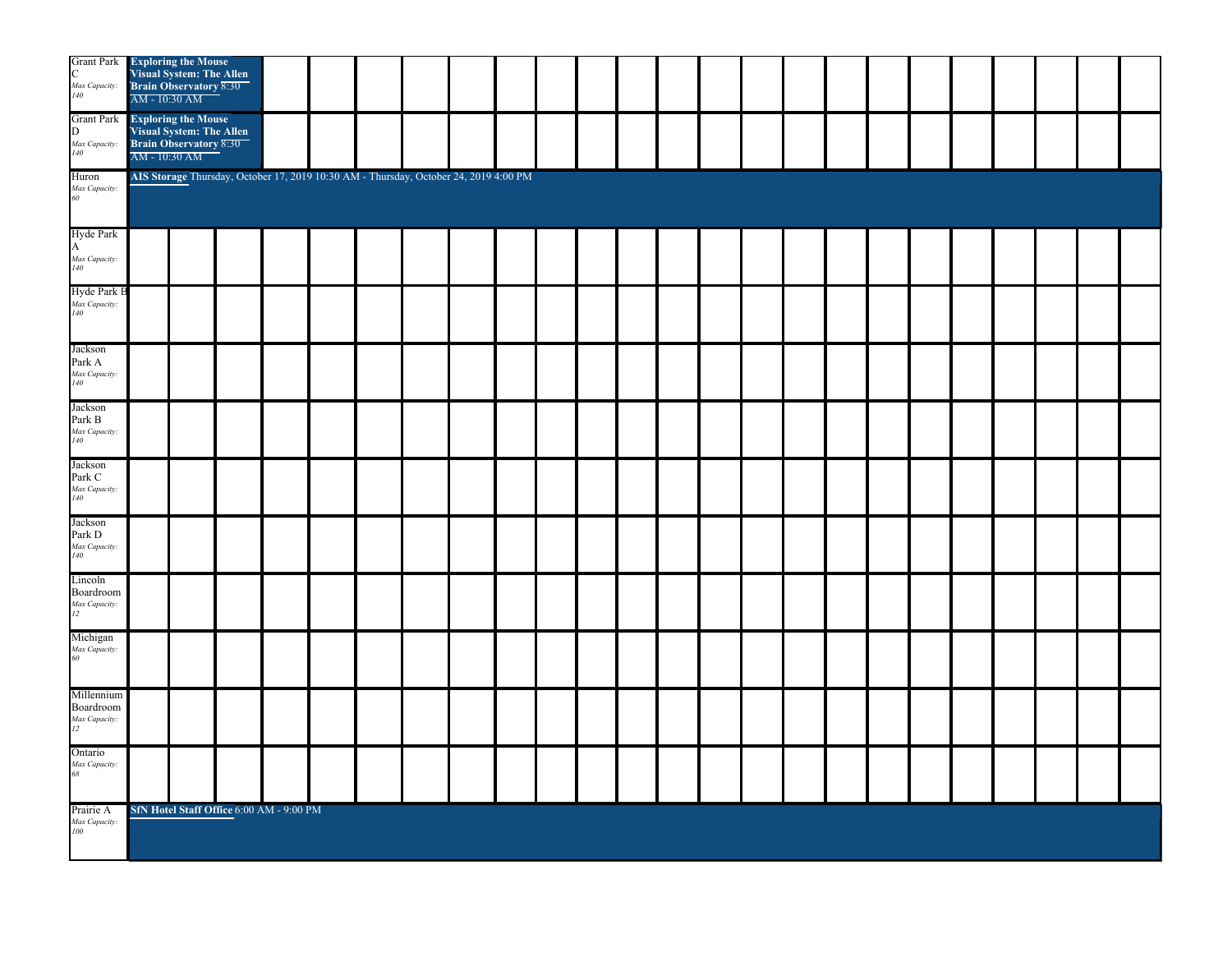| C<br>Max Capacity:<br>140                      | <b>Grant Park Exploring the Mouse</b><br>Visual System: The Allen<br>Brain Observatory 8:30<br>AM - 10:30 AM |  |  |  |  |  |  |  |  |  |  |  |
|------------------------------------------------|--------------------------------------------------------------------------------------------------------------|--|--|--|--|--|--|--|--|--|--|--|
| Max Capacity:<br>140                           | Grant Park Exploring the Mouse<br>D Visual System: The Allen<br>Brain Observatory 8:30<br>AM - 10:30 AM      |  |  |  |  |  |  |  |  |  |  |  |
| Huron<br>Max Capacity:<br>60                   | AIS Storage Thursday, October 17, 2019 10:30 AM - Thursday, October 24, 2019 4:00 PM                         |  |  |  |  |  |  |  |  |  |  |  |
| Hyde Park<br>A<br>Max Capacity:<br>140         |                                                                                                              |  |  |  |  |  |  |  |  |  |  |  |
| Hyde Park B<br>Max Capacity:<br>140            |                                                                                                              |  |  |  |  |  |  |  |  |  |  |  |
| Jackson<br>Park A<br>Max Capacity:<br>140      |                                                                                                              |  |  |  |  |  |  |  |  |  |  |  |
| Jackson<br>Park B<br>Max Capacity:<br>140      |                                                                                                              |  |  |  |  |  |  |  |  |  |  |  |
| Jackson<br>Park C<br>Max Capacity:<br>140      |                                                                                                              |  |  |  |  |  |  |  |  |  |  |  |
| Jackson<br>Park D<br>Max Capacity:<br>140      |                                                                                                              |  |  |  |  |  |  |  |  |  |  |  |
| Lincoln<br>Boardroom<br>Max Capacity:<br>12    |                                                                                                              |  |  |  |  |  |  |  |  |  |  |  |
| Michigan<br>Max Capacity:<br>60                |                                                                                                              |  |  |  |  |  |  |  |  |  |  |  |
| Millennium<br>Boardroom<br>Max Capacity:<br>12 |                                                                                                              |  |  |  |  |  |  |  |  |  |  |  |
| Ontario<br>Max Capacity:<br>68                 |                                                                                                              |  |  |  |  |  |  |  |  |  |  |  |
| Prairie A<br>Max Capacity:<br>100              | SfN Hotel Staff Office 6:00 AM - 9:00 PM                                                                     |  |  |  |  |  |  |  |  |  |  |  |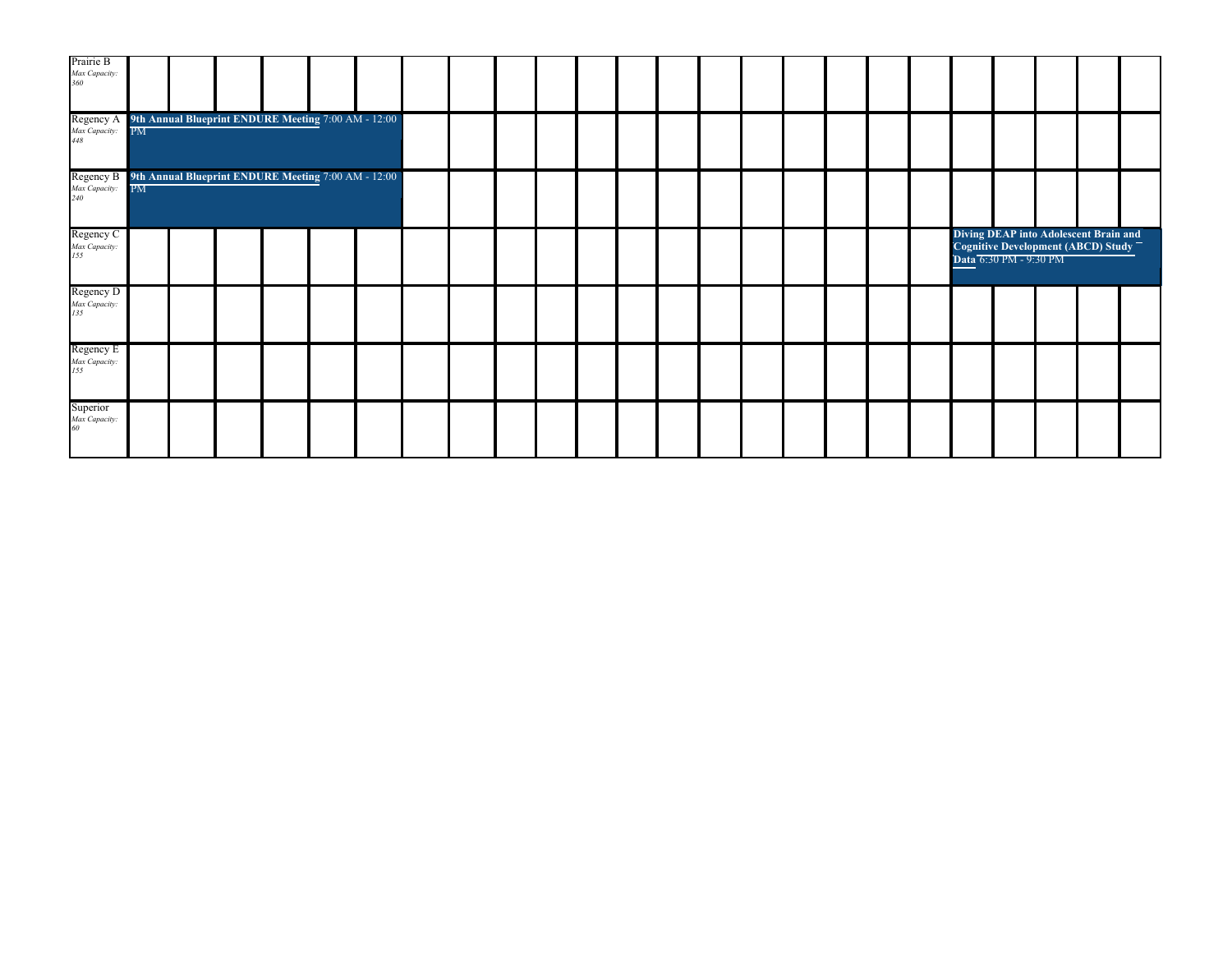| Prairie B<br>Max Capacity:<br>360                                                        |    |                                                               |  |  |  |  |  |  |  |  |  |  |  |                                                                                                       |  |
|------------------------------------------------------------------------------------------|----|---------------------------------------------------------------|--|--|--|--|--|--|--|--|--|--|--|-------------------------------------------------------------------------------------------------------|--|
| Regency A 9th Annual Blueprint ENDURE Meeting 7:00 AM - 12:00<br>Max Capacity: PM<br>448 |    |                                                               |  |  |  |  |  |  |  |  |  |  |  |                                                                                                       |  |
| Max Capacity:<br>240                                                                     | PM |                                                               |  |  |  |  |  |  |  |  |  |  |  |                                                                                                       |  |
| Regency C<br>Max Capacity:<br>155                                                        |    | Regency B 9th Annual Blueprint ENDURE Meeting 7:00 AM - 12:00 |  |  |  |  |  |  |  |  |  |  |  | Diving DEAP into Adolescent Brain and<br>Cognitive Development (ABCD) Study<br>Data 6:30 PM - 9:30 PM |  |
| Regency D<br>Max Capacity:<br>135                                                        |    |                                                               |  |  |  |  |  |  |  |  |  |  |  |                                                                                                       |  |
| Regency E<br>Max Capacity:<br>155                                                        |    |                                                               |  |  |  |  |  |  |  |  |  |  |  |                                                                                                       |  |
| Superior<br>Max Capacity:<br>60                                                          |    |                                                               |  |  |  |  |  |  |  |  |  |  |  |                                                                                                       |  |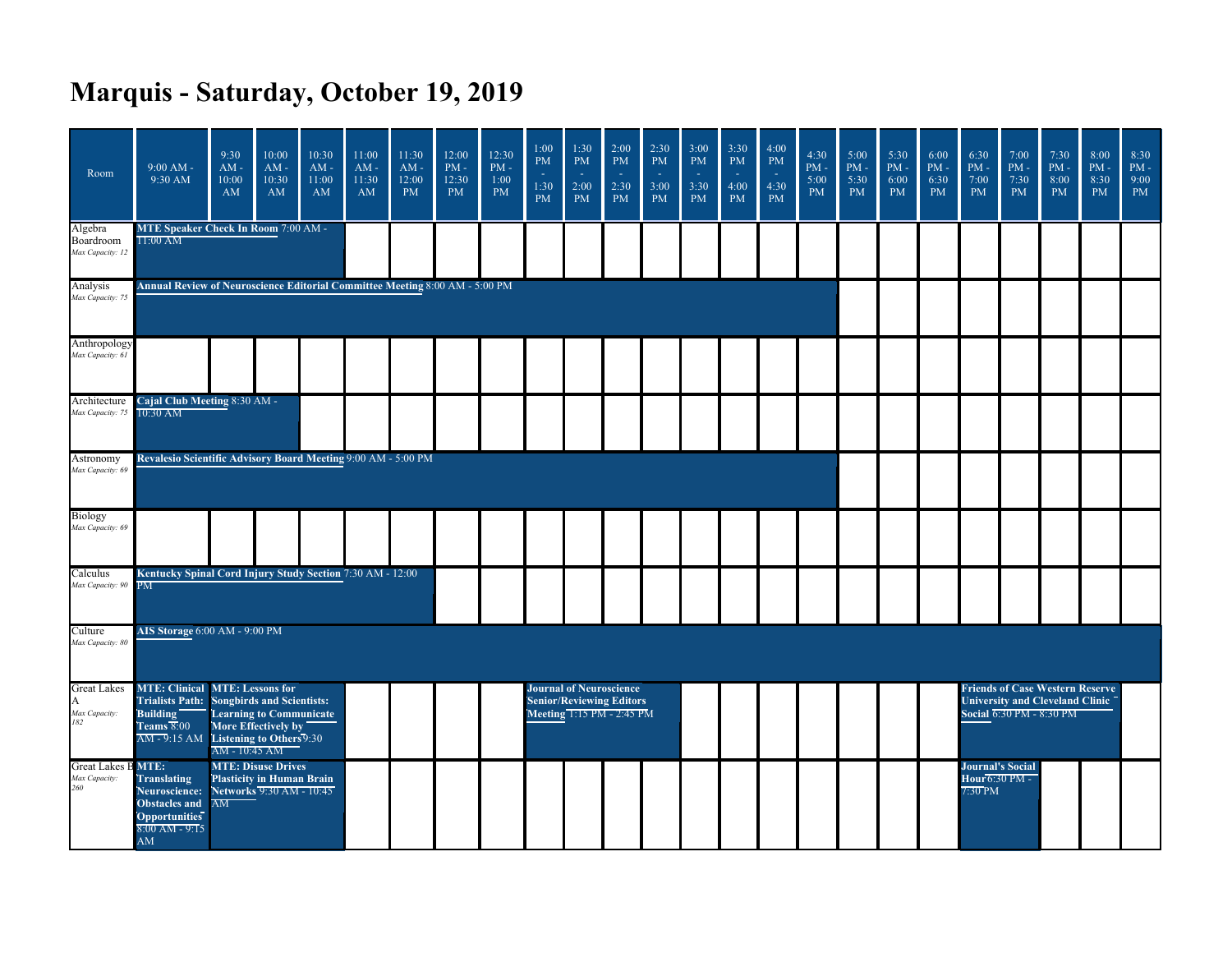## **Marquis - Saturday, October 19, 2019**

| Room                                              | $9:00 AM -$<br>9:30 AM                                                                            | 9:30<br>$AM -$<br>10:00<br>AM                                                                                                                                                                                                                                                                                                                                                                                                                                                                                                                                                         | 10:00<br>$AM -$<br>10:30<br>AM | 10:30<br>$AM -$<br>11:00<br>AM | 11:00<br>$AM -$<br>11:30<br>$\mathbf{A}\mathbf{M}$ | 11:30<br>$AM -$<br>12:00<br><b>PM</b> | 12:00<br>$\mathrm{PM}$ -<br>12:30<br><b>PM</b> | 12:30<br>$PM -$<br>1:00<br><b>PM</b> | 1:00<br><b>PM</b><br>1:30<br><b>PM</b> | 1:30<br>PM<br>$\sim$<br>2:00<br><b>PM</b>                                                      | 2:00<br><b>PM</b><br>2:30<br><b>PM</b> | 2:30<br>$\mathbf{PM}$<br>3:00<br><b>PM</b> | 3:00<br>$\mathbf{PM}$<br>3:30<br>PM | 3:30<br><b>PM</b><br>4:00<br><b>PM</b> | 4:00<br><b>PM</b><br>4:30<br><b>PM</b> | 4:30<br>$PM -$<br>5:00<br><b>PM</b> | 5:00<br>$PM -$<br>5:30<br>PM | 5:30<br>$PM -$<br>6:00<br><b>PM</b> | 6:00<br>$PM -$<br>6:30<br><b>PM</b> | 6:30<br>$\mathrm{PM}$ -<br>7:00<br>PM                | 7:00<br>$PM -$<br>7:30<br><b>PM</b>                                                                   | 7:30<br>$PM -$<br>8:00<br><b>PM</b> | 8:00<br>$\mathrm{PM}$ -<br>8:30<br><b>PM</b> | 8:30<br>$PM -$<br>9:00<br>PM |
|---------------------------------------------------|---------------------------------------------------------------------------------------------------|---------------------------------------------------------------------------------------------------------------------------------------------------------------------------------------------------------------------------------------------------------------------------------------------------------------------------------------------------------------------------------------------------------------------------------------------------------------------------------------------------------------------------------------------------------------------------------------|--------------------------------|--------------------------------|----------------------------------------------------|---------------------------------------|------------------------------------------------|--------------------------------------|----------------------------------------|------------------------------------------------------------------------------------------------|----------------------------------------|--------------------------------------------|-------------------------------------|----------------------------------------|----------------------------------------|-------------------------------------|------------------------------|-------------------------------------|-------------------------------------|------------------------------------------------------|-------------------------------------------------------------------------------------------------------|-------------------------------------|----------------------------------------------|------------------------------|
| Algebra<br>Boardroom<br>Max Capacity: 12          | <b>MTE Speaker Check In Room 7:00 AM -</b><br>$11:00$ AM                                          |                                                                                                                                                                                                                                                                                                                                                                                                                                                                                                                                                                                       |                                |                                |                                                    |                                       |                                                |                                      |                                        |                                                                                                |                                        |                                            |                                     |                                        |                                        |                                     |                              |                                     |                                     |                                                      |                                                                                                       |                                     |                                              |                              |
| Analysis<br>Max Capacity: 75                      |                                                                                                   |                                                                                                                                                                                                                                                                                                                                                                                                                                                                                                                                                                                       |                                |                                |                                                    |                                       |                                                |                                      |                                        |                                                                                                |                                        |                                            |                                     |                                        |                                        |                                     |                              |                                     |                                     |                                                      |                                                                                                       |                                     |                                              |                              |
| Anthropology<br>Max Capacity: 61                  |                                                                                                   |                                                                                                                                                                                                                                                                                                                                                                                                                                                                                                                                                                                       |                                |                                |                                                    |                                       |                                                |                                      |                                        |                                                                                                |                                        |                                            |                                     |                                        |                                        |                                     |                              |                                     |                                     |                                                      |                                                                                                       |                                     |                                              |                              |
| Max Capacity: 75 10:30 AM                         |                                                                                                   |                                                                                                                                                                                                                                                                                                                                                                                                                                                                                                                                                                                       |                                |                                |                                                    |                                       |                                                |                                      |                                        |                                                                                                |                                        |                                            |                                     |                                        |                                        |                                     |                              |                                     |                                     |                                                      |                                                                                                       |                                     |                                              |                              |
| Astronomy<br>Max Capacity: 69                     |                                                                                                   |                                                                                                                                                                                                                                                                                                                                                                                                                                                                                                                                                                                       |                                |                                |                                                    |                                       |                                                |                                      |                                        |                                                                                                |                                        |                                            |                                     |                                        |                                        |                                     |                              |                                     |                                     |                                                      |                                                                                                       |                                     |                                              |                              |
| Biology<br>Max Capacity: 69                       |                                                                                                   |                                                                                                                                                                                                                                                                                                                                                                                                                                                                                                                                                                                       |                                |                                |                                                    |                                       |                                                |                                      |                                        |                                                                                                |                                        |                                            |                                     |                                        |                                        |                                     |                              |                                     |                                     |                                                      |                                                                                                       |                                     |                                              |                              |
| Calculus<br>Max Capacity: 90 PM                   |                                                                                                   |                                                                                                                                                                                                                                                                                                                                                                                                                                                                                                                                                                                       |                                |                                |                                                    |                                       |                                                |                                      |                                        |                                                                                                |                                        |                                            |                                     |                                        |                                        |                                     |                              |                                     |                                     |                                                      |                                                                                                       |                                     |                                              |                              |
| Culture<br>Max Capacity: 80                       |                                                                                                   |                                                                                                                                                                                                                                                                                                                                                                                                                                                                                                                                                                                       |                                |                                |                                                    |                                       |                                                |                                      |                                        |                                                                                                |                                        |                                            |                                     |                                        |                                        |                                     |                              |                                     |                                     |                                                      |                                                                                                       |                                     |                                              |                              |
| <b>Great Lakes</b><br>A<br>Max Capacity:<br>182   | Building<br>Teams 8:00                                                                            | Annual Review of Neuroscience Editorial Committee Meeting 8:00 AM - 5:00 PM<br>Architecture Cajal Club Meeting 8:30 AM -<br>Revalesio Scientific Advisory Board Meeting 9:00 AM - 5:00 PM<br>Kentucky Spinal Cord Injury Study Section 7:30 AM - 12:00<br>AIS Storage 6:00 AM - 9:00 PM<br><b>MTE: Clinical MTE: Lessons for</b><br>Trialists Path: Songbirds and Scientists:<br>Learning to Communicate<br>More Effectively by<br>AM - 9:15 AM Listening to Others 9:30<br>AM - 10:45 AM<br><b>MTE: Disuse Drives</b><br>Plasticity in Human Brain<br>Networks 9:30 AM - 10:45<br>AM |                                |                                |                                                    |                                       |                                                |                                      |                                        | <b>Journal of Neuroscience</b><br><b>Senior/Reviewing Editors</b><br>Meeting 1:15 PM - 2:45 PM |                                        |                                            |                                     |                                        |                                        |                                     |                              |                                     |                                     |                                                      | <b>Friends of Case Western Reserve</b><br>University and Cleveland Clinic<br>Social 6:30 PM - 8:30 PM |                                     |                                              |                              |
| <b>Great Lakes B MTE:</b><br>Max Capacity:<br>260 | <b>Translating</b><br>Neuroscience:<br>Obstacles and<br>Opportunities<br>$8:00$ AM - $9:15$<br>AM |                                                                                                                                                                                                                                                                                                                                                                                                                                                                                                                                                                                       |                                |                                |                                                    |                                       |                                                |                                      |                                        |                                                                                                |                                        |                                            |                                     |                                        |                                        |                                     |                              |                                     |                                     | <b>Journal's Social</b><br>Hour 6:30 PM -<br>7:30 PM |                                                                                                       |                                     |                                              |                              |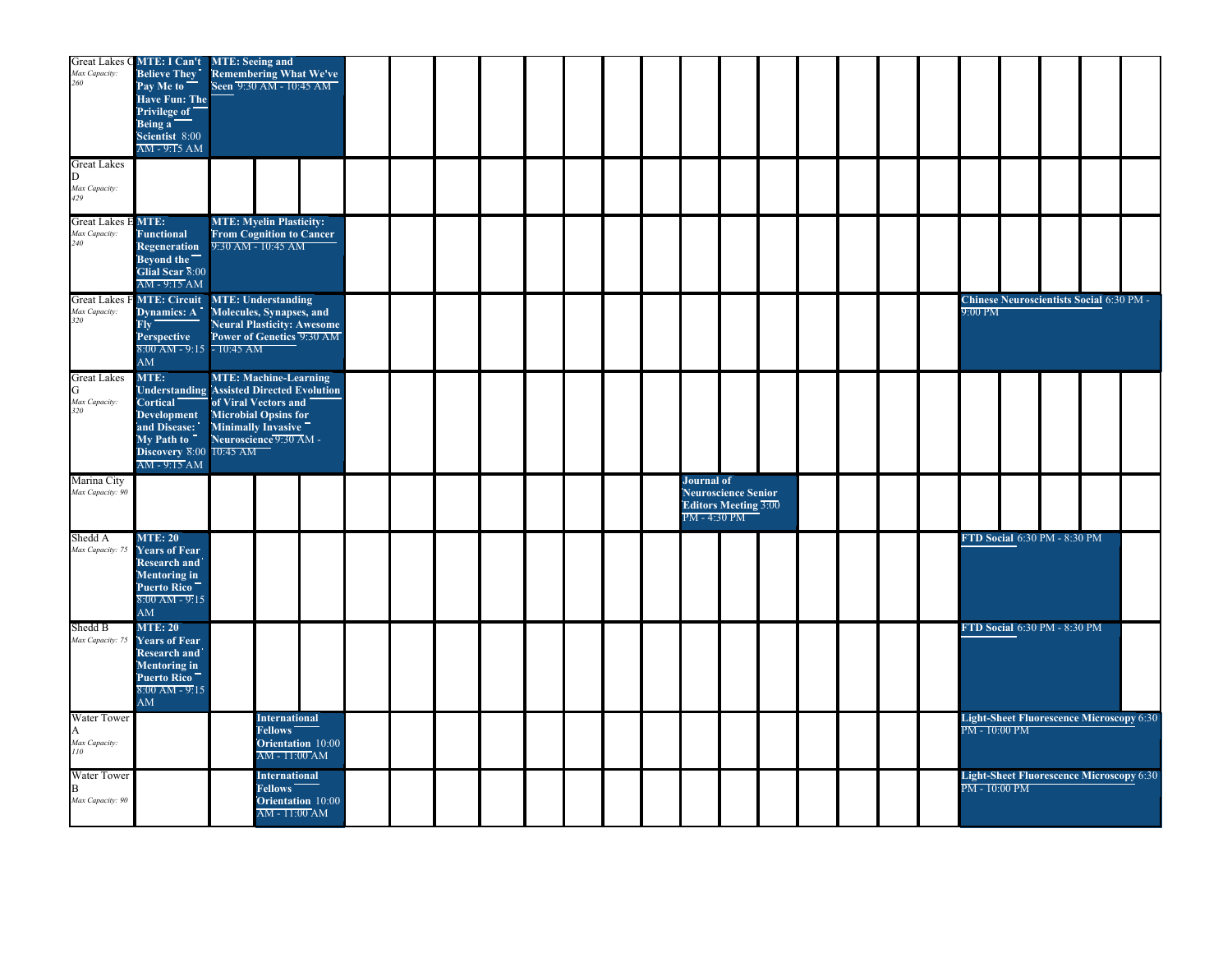| Max Capacity:<br>260                              | Great Lakes C MTE: I Can't MTE: Seeing and<br><b>Believe They</b><br>Pay Me to<br>Have Fun: The<br>"Privilege of<br>Being a<br>Scientist 8:00<br>AM - 9:15 AM         |                             | <b>Remembering What We've</b><br>Seen 9:30 AM - 10:45 AM                                             |  |  |  |  |                                                                                         |  |  |  |               |                              |                                                 |  |
|---------------------------------------------------|-----------------------------------------------------------------------------------------------------------------------------------------------------------------------|-----------------------------|------------------------------------------------------------------------------------------------------|--|--|--|--|-----------------------------------------------------------------------------------------|--|--|--|---------------|------------------------------|-------------------------------------------------|--|
| <b>Great Lakes</b><br>D.<br>Max Capacity:<br>429  |                                                                                                                                                                       |                             |                                                                                                      |  |  |  |  |                                                                                         |  |  |  |               |                              |                                                 |  |
| <b>Great Lakes E MTE:</b><br>Max Capacity:<br>240 | <b>Functional</b><br>Regeneration<br>Bevond the<br>Glial Scar 8:00<br>AM-9:15 AM                                                                                      |                             | <b>MTE: Myelin Plasticity:</b><br><b>From Cognition to Cancer</b><br>9:30 AM - 10:45 AM              |  |  |  |  |                                                                                         |  |  |  |               |                              |                                                 |  |
| Max Capacity:<br>320                              | <b>Great Lakes F MTE: Circuit MTE: Understanding</b><br>Dynamics: A<br>Fly<br>Perspective<br>$8:00$ AM - 9:15 - 10:45 AM<br>AM                                        |                             | Molecules, Synapses, and<br><b>Neural Plasticity: Awesome</b><br>Power of Genetics 9:30 AM           |  |  |  |  |                                                                                         |  |  |  | 9:00 PM       |                              | <b>Chinese Neuroscientists Social 6:30 PM -</b> |  |
| <b>Great Lakes</b><br>G<br>Max Capacity:<br>320   | MTE:<br>Understanding Assisted Directed Evolution<br><b>Cortical</b><br><b>Development</b><br>and Disease:<br>"My Path to"<br>Discovery 8:00 10:45 AM<br>AM - 9:15 AM | <b>Microbial Opsins for</b> | <b>MTE: Machine-Learning</b><br>of Viral Vectors and<br>Minimally Invasive<br>Neuroscience 9:30 AM - |  |  |  |  |                                                                                         |  |  |  |               |                              |                                                 |  |
| Marina City<br>Max Capacity: 90                   |                                                                                                                                                                       |                             |                                                                                                      |  |  |  |  | <b>Journal of</b><br>Neuroscience Senior<br><b>Editors Meeting 3:00</b><br>PM - 4:30 PM |  |  |  |               |                              |                                                 |  |
| Shedd A<br>Max Capacity: 75                       | <b>MTE: 20</b><br><b>Years of Fear</b><br>Research and<br>Mentoring in<br><b>Puerto Rico</b><br>$8:00$ AM - 9:15<br>AM                                                |                             |                                                                                                      |  |  |  |  |                                                                                         |  |  |  |               | FTD Social 6:30 PM - 8:30 PM |                                                 |  |
| Shedd B<br>Max Capacity: 75                       | <b>MTE: 20</b><br><b>Years of Fear</b><br>Research and<br>Mentoring in<br>Puerto Rico<br>$8:00 AM - 9:15$<br>AM                                                       |                             |                                                                                                      |  |  |  |  |                                                                                         |  |  |  |               | FTD Social 6:30 PM - 8:30 PM |                                                 |  |
| <b>Water Tower</b><br>A<br>Max Capacity:<br>110   |                                                                                                                                                                       |                             | <b>International</b><br><b>Fellows</b><br>Orientation 10:00<br>$AM - 11:00$ AM                       |  |  |  |  |                                                                                         |  |  |  | PM - 10:00 PM |                              | <b>Light-Sheet Fluorescence Microscopy 6:30</b> |  |
| <b>Water Tower</b><br>B.<br>Max Capacity: 90      |                                                                                                                                                                       |                             | <b>International</b><br><b>Fellows</b><br>Orientation 10:00<br>AM - 11:00 AM                         |  |  |  |  |                                                                                         |  |  |  | PM - 10:00 PM |                              | <b>Light-Sheet Fluorescence Microscopy 6:30</b> |  |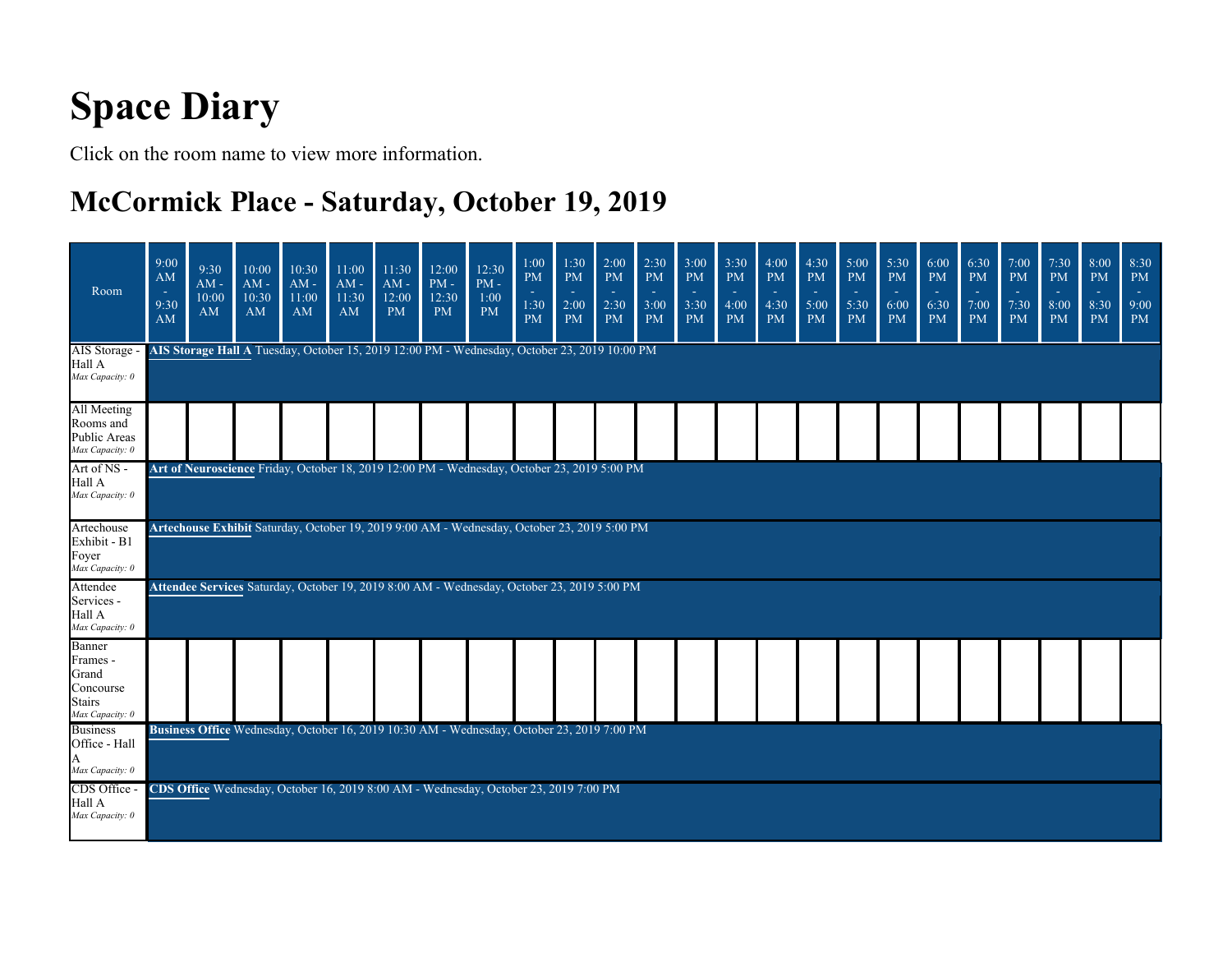# **Space Diary**

Click on the room name to view more information.

### **McCormick Place - Saturday, October 19, 2019**

| Room                                                                  | 9:00<br>AM<br><b>14</b><br>9:30<br>AM                                                                                                                                                      | 9:30<br>$AM -$<br>10:00<br>AM | 10:00<br>$AM -$<br>10:30<br>AM | 10:30<br>$AM -$<br>11:00<br>AM | 11:00<br>$AM -$<br>11:30<br>AM | 11:30<br>$AM -$<br>12:00<br><b>PM</b> | 12:00<br>$PM -$<br>12:30<br><b>PM</b>                                                        | 12:30<br>$PM -$<br>1:00<br><b>PM</b> | 1:00<br><b>PM</b><br>$\sim$<br>1:30<br><b>PM</b> | 1:30<br><b>PM</b><br>$\sim$<br>2:00<br><b>PM</b> | 2:00<br><b>PM</b><br>÷<br>2:30<br><b>PM</b> | 2:30<br><b>PM</b><br>and in<br>3:00<br><b>PM</b> | 3:00<br><b>PM</b><br>3:30<br><b>PM</b> | 3:30<br><b>PM</b><br>х.<br>4:00<br><b>PM</b> | 4:00<br><b>PM</b><br>ria de<br>4:30<br><b>PM</b> | 4:30<br><b>PM</b><br>$\sim$<br>5:00<br><b>PM</b> | 5:00<br><b>PM</b><br>٠<br>5:30<br><b>PM</b> | 5:30<br><b>PM</b><br><b>100</b><br>6:00<br><b>PM</b> | 6:00<br><b>PM</b><br>$\sim$<br>6:30<br><b>PM</b> | 6:30<br><b>PM</b><br>r e<br>7:00<br><b>PM</b> | 7:00<br>PM<br>٠<br>7:30<br><b>PM</b> | 7:30<br><b>PM</b><br>$\sim$<br>8:00<br><b>PM</b> | 8:00<br><b>PM</b><br>٠<br>8:30<br><b>PM</b> | 8:30<br>PM<br>×.<br>9:00<br><b>PM</b> |
|-----------------------------------------------------------------------|--------------------------------------------------------------------------------------------------------------------------------------------------------------------------------------------|-------------------------------|--------------------------------|--------------------------------|--------------------------------|---------------------------------------|----------------------------------------------------------------------------------------------|--------------------------------------|--------------------------------------------------|--------------------------------------------------|---------------------------------------------|--------------------------------------------------|----------------------------------------|----------------------------------------------|--------------------------------------------------|--------------------------------------------------|---------------------------------------------|------------------------------------------------------|--------------------------------------------------|-----------------------------------------------|--------------------------------------|--------------------------------------------------|---------------------------------------------|---------------------------------------|
| AIS Storage<br>Hall A<br>Max Capacity: 0                              |                                                                                                                                                                                            |                               |                                |                                |                                |                                       | AIS Storage Hall A Tuesday, October 15, 2019 12:00 PM - Wednesday, October 23, 2019 10:00 PM |                                      |                                                  |                                                  |                                             |                                                  |                                        |                                              |                                                  |                                                  |                                             |                                                      |                                                  |                                               |                                      |                                                  |                                             |                                       |
| All Meeting<br>Rooms and<br>Public Areas<br>Max Capacity: 0           |                                                                                                                                                                                            |                               |                                |                                |                                |                                       |                                                                                              |                                      |                                                  |                                                  |                                             |                                                  |                                        |                                              |                                                  |                                                  |                                             |                                                      |                                                  |                                               |                                      |                                                  |                                             |                                       |
| Art of NS -<br>Hall A<br>Max Capacity: 0                              |                                                                                                                                                                                            |                               |                                |                                |                                |                                       |                                                                                              |                                      |                                                  |                                                  |                                             |                                                  |                                        |                                              |                                                  |                                                  |                                             |                                                      |                                                  |                                               |                                      |                                                  |                                             |                                       |
| Artechouse<br>Exhibit - B1<br>Foyer<br>Max Capacity: 0                | Art of Neuroscience Friday, October 18, 2019 12:00 PM - Wednesday, October 23, 2019 5:00 PM<br>Artechouse Exhibit Saturday, October 19, 2019 9:00 AM - Wednesday, October 23, 2019 5:00 PM |                               |                                |                                |                                |                                       |                                                                                              |                                      |                                                  |                                                  |                                             |                                                  |                                        |                                              |                                                  |                                                  |                                             |                                                      |                                                  |                                               |                                      |                                                  |                                             |                                       |
| Attendee<br>Services -<br>Hall A<br>Max Capacity: 0                   |                                                                                                                                                                                            |                               |                                |                                |                                |                                       | Attendee Services Saturday, October 19, 2019 8:00 AM - Wednesday, October 23, 2019 5:00 PM   |                                      |                                                  |                                                  |                                             |                                                  |                                        |                                              |                                                  |                                                  |                                             |                                                      |                                                  |                                               |                                      |                                                  |                                             |                                       |
| Banner<br>Frames -<br>Grand<br>Concourse<br>Stairs<br>Max Capacity: 0 |                                                                                                                                                                                            |                               |                                |                                |                                |                                       |                                                                                              |                                      |                                                  |                                                  |                                             |                                                  |                                        |                                              |                                                  |                                                  |                                             |                                                      |                                                  |                                               |                                      |                                                  |                                             |                                       |
| <b>Business</b><br>Office - Hall<br>Max Capacity: 0                   |                                                                                                                                                                                            |                               |                                |                                |                                |                                       | Business Office Wednesday, October 16, 2019 10:30 AM - Wednesday, October 23, 2019 7:00 PM   |                                      |                                                  |                                                  |                                             |                                                  |                                        |                                              |                                                  |                                                  |                                             |                                                      |                                                  |                                               |                                      |                                                  |                                             |                                       |
| CDS Office -<br>Hall A<br>Max Capacity: 0                             |                                                                                                                                                                                            |                               |                                |                                |                                |                                       | CDS Office Wednesday, October 16, 2019 8:00 AM - Wednesday, October 23, 2019 7:00 PM         |                                      |                                                  |                                                  |                                             |                                                  |                                        |                                              |                                                  |                                                  |                                             |                                                      |                                                  |                                               |                                      |                                                  |                                             |                                       |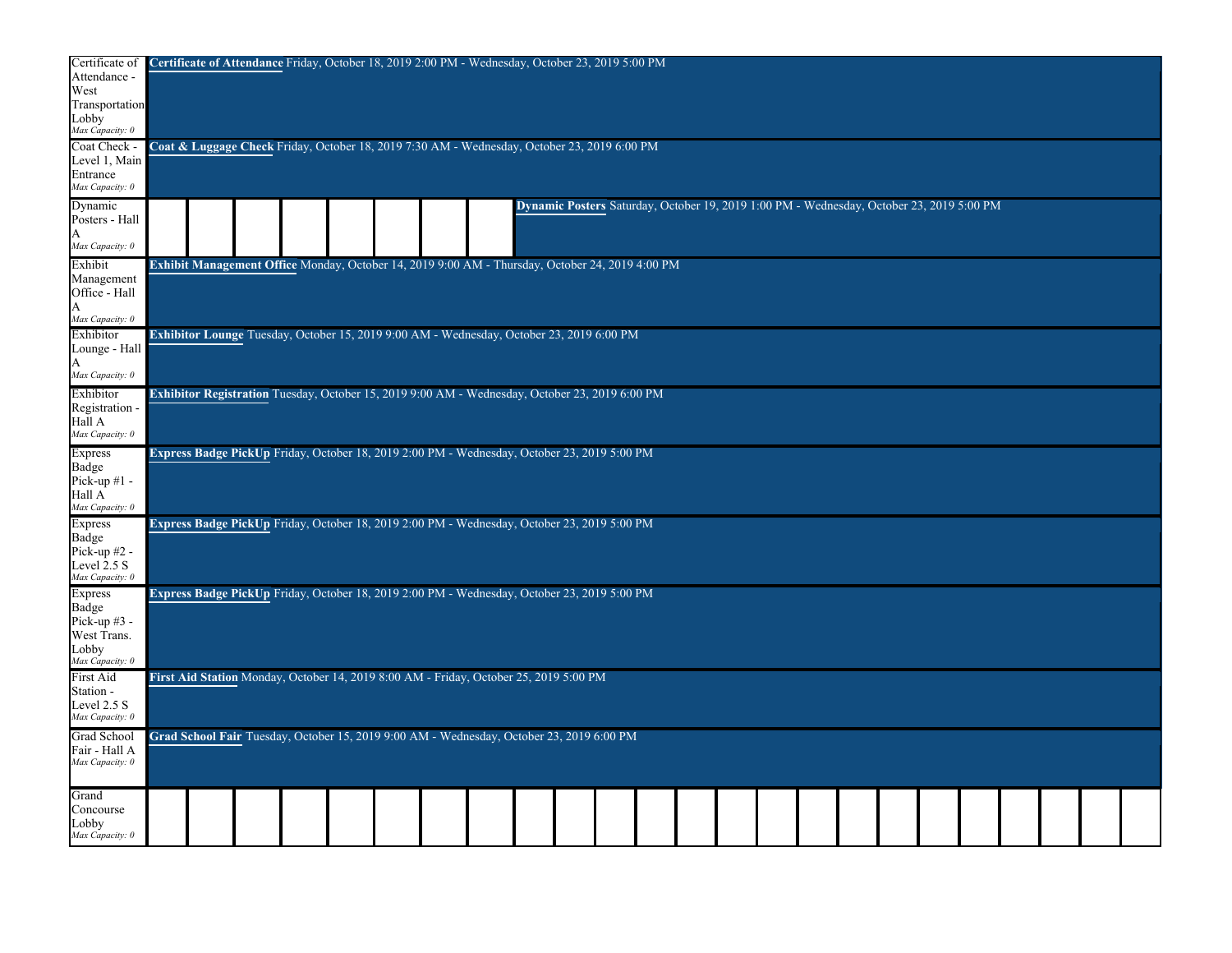| Certificate of<br>Attendance -<br>West<br>Transportation<br>Lobby<br>Max Capacity: 0 | Certificate of Attendance Friday, October 18, 2019 2:00 PM - Wednesday, October 23, 2019 5:00 PM |  |  |                                                                                                        |  |  |  |  |                                                                                          |  |  |  |  |
|--------------------------------------------------------------------------------------|--------------------------------------------------------------------------------------------------|--|--|--------------------------------------------------------------------------------------------------------|--|--|--|--|------------------------------------------------------------------------------------------|--|--|--|--|
| Coat Check -<br>Level 1, Main<br>Entrance<br>Max Capacity: 0                         |                                                                                                  |  |  | <b>Coat &amp; Luggage Check</b> Friday, October 18, 2019 7:30 AM - Wednesday, October 23, 2019 6:00 PM |  |  |  |  |                                                                                          |  |  |  |  |
| Dynamic<br>Posters - Hall<br>Max Capacity: 0                                         |                                                                                                  |  |  |                                                                                                        |  |  |  |  | Dynamic Posters Saturday, October 19, 2019 1:00 PM - Wednesday, October 23, 2019 5:00 PM |  |  |  |  |
| Exhibit<br>Management<br>Office - Hall                                               |                                                                                                  |  |  | Exhibit Management Office Monday, October 14, 2019 9:00 AM - Thursday, October 24, 2019 4:00 PM        |  |  |  |  |                                                                                          |  |  |  |  |
| Max Capacity: 0<br>Exhibitor<br>Lounge - Hall<br>Max Capacity: 0                     |                                                                                                  |  |  | Exhibitor Lounge Tuesday, October 15, 2019 9:00 AM - Wednesday, October 23, 2019 6:00 PM               |  |  |  |  |                                                                                          |  |  |  |  |
| Exhibitor<br>Registration<br>Hall A<br>Max Capacity: 0                               |                                                                                                  |  |  | Exhibitor Registration Tuesday, October 15, 2019 9:00 AM - Wednesday, October 23, 2019 6:00 PM         |  |  |  |  |                                                                                          |  |  |  |  |
| Express<br>Badge<br>Pick-up $#1$ -<br>Hall A<br>Max Capacity: 0                      |                                                                                                  |  |  | Express Badge PickUp Friday, October 18, 2019 2:00 PM - Wednesday, October 23, 2019 5:00 PM            |  |  |  |  |                                                                                          |  |  |  |  |
| <b>Express</b><br>Badge<br>Pick-up $#2$ -<br>Level $2.5 S$<br>Max Capacity: 0        |                                                                                                  |  |  | <b>Express Badge PickUp</b> Friday, October 18, 2019 2:00 PM - Wednesday, October 23, 2019 5:00 PM     |  |  |  |  |                                                                                          |  |  |  |  |
| <b>Express</b><br>Badge<br>Pick-up $#3$ -<br>West Trans.<br>Lobby<br>Max Capacity: 0 |                                                                                                  |  |  | Express Badge PickUp Friday, October 18, 2019 2:00 PM - Wednesday, October 23, 2019 5:00 PM            |  |  |  |  |                                                                                          |  |  |  |  |
| First Aid<br>Station -<br>Level 2.5 S<br>Max Capacity: 0                             |                                                                                                  |  |  | First Aid Station Monday, October 14, 2019 8:00 AM - Friday, October 25, 2019 5:00 PM                  |  |  |  |  |                                                                                          |  |  |  |  |
| Grad School<br>Fair - Hall A<br>Max Capacity: 0                                      |                                                                                                  |  |  | Grad School Fair Tuesday, October 15, 2019 9:00 AM - Wednesday, October 23, 2019 6:00 PM               |  |  |  |  |                                                                                          |  |  |  |  |
| Grand<br>Concourse<br>Lobby<br>Max Capacity: 0                                       |                                                                                                  |  |  |                                                                                                        |  |  |  |  |                                                                                          |  |  |  |  |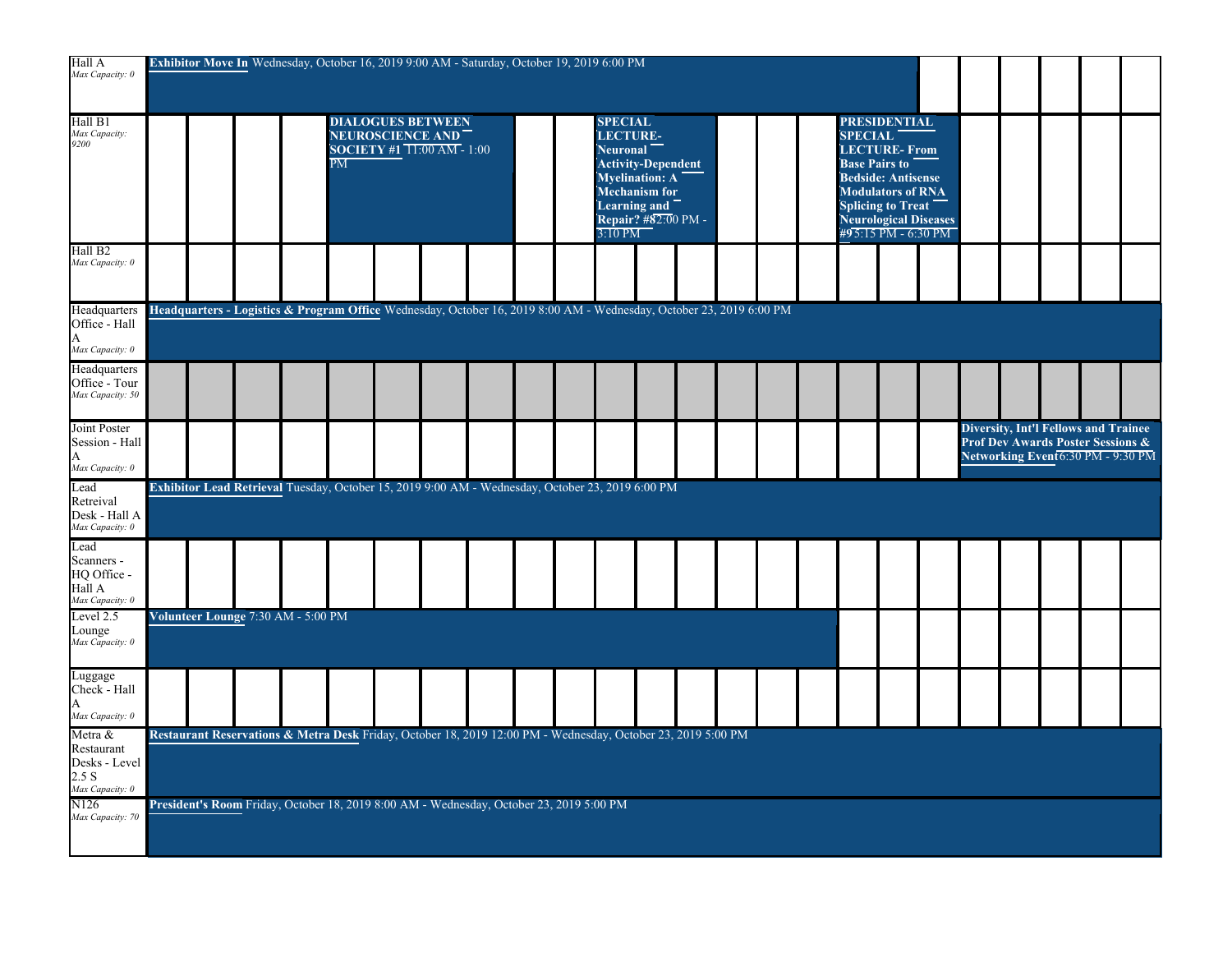| Hall A<br>Max Capacity: 0                                          |  |                                    |                          |                                                                            | Exhibitor Move In Wednesday, October 16, 2019 9:00 AM - Saturday, October 19, 2019 6:00 PM                          |  |                                                            |                                                                                                            |  |  |                                                               |                                                                                                                                 |                       |  |                                                                                                                       |  |
|--------------------------------------------------------------------|--|------------------------------------|--------------------------|----------------------------------------------------------------------------|---------------------------------------------------------------------------------------------------------------------|--|------------------------------------------------------------|------------------------------------------------------------------------------------------------------------|--|--|---------------------------------------------------------------|---------------------------------------------------------------------------------------------------------------------------------|-----------------------|--|-----------------------------------------------------------------------------------------------------------------------|--|
| Hall B1<br>Max Capacity:<br>9200                                   |  |                                    | $\overline{\mathrm{PM}}$ | <b>DIALOGUES BETWEEN</b><br>NEUROSCIENCE AND<br>SOCIETY #1 11:00 AM - 1:00 |                                                                                                                     |  | <b>SPECIAL</b><br><b>LECTURE-</b><br>Neuronal<br>$3:10$ PM | <b>Activity-Dependent</b><br><b>Myelination: A</b><br>Mechanism for<br>Learning and<br>Repair? #82:00 PM - |  |  | <b>SPECIAL</b><br><b>LECTURE-From</b><br><b>Base Pairs to</b> | <b>PRESIDENTIAL</b><br><b>Bedside: Antisense</b><br><b>Modulators of RNA</b><br><b>Splicing to Treat</b><br>#95:15 PM - 6:30 PM | Neurological Diseases |  |                                                                                                                       |  |
| Hall B <sub>2</sub><br>Max Capacity: 0                             |  |                                    |                          |                                                                            |                                                                                                                     |  |                                                            |                                                                                                            |  |  |                                                               |                                                                                                                                 |                       |  |                                                                                                                       |  |
| Headquarters<br>Office - Hall<br>Max Capacity: 0                   |  |                                    |                          |                                                                            | Headquarters - Logistics & Program Office Wednesday, October 16, 2019 8:00 AM - Wednesday, October 23, 2019 6:00 PM |  |                                                            |                                                                                                            |  |  |                                                               |                                                                                                                                 |                       |  |                                                                                                                       |  |
| Headquarters<br>Office - Tour<br>Max Capacity: 50                  |  |                                    |                          |                                                                            |                                                                                                                     |  |                                                            |                                                                                                            |  |  |                                                               |                                                                                                                                 |                       |  |                                                                                                                       |  |
| Joint Poster<br>Session - Hall<br>A<br>Max Capacity: 0             |  |                                    |                          |                                                                            |                                                                                                                     |  |                                                            |                                                                                                            |  |  |                                                               |                                                                                                                                 |                       |  | <b>Diversity, Int'l Fellows and Trainee</b><br>Prof Dev Awards Poster Sessions &<br>Networking Event6:30 PM - 9:30 PM |  |
| Lead<br>Retreival<br>Desk - Hall A<br>Max Capacity: 0              |  |                                    |                          |                                                                            | Exhibitor Lead Retrieval Tuesday, October 15, 2019 9:00 AM - Wednesday, October 23, 2019 6:00 PM                    |  |                                                            |                                                                                                            |  |  |                                                               |                                                                                                                                 |                       |  |                                                                                                                       |  |
| Lead<br>Scanners -<br>HQ Office -<br>Hall A<br>Max Capacity: 0     |  |                                    |                          |                                                                            |                                                                                                                     |  |                                                            |                                                                                                            |  |  |                                                               |                                                                                                                                 |                       |  |                                                                                                                       |  |
| Level 2.5<br>Lounge<br>Max Capacity: 0                             |  | Volunteer Lounge 7:30 AM - 5:00 PM |                          |                                                                            |                                                                                                                     |  |                                                            |                                                                                                            |  |  |                                                               |                                                                                                                                 |                       |  |                                                                                                                       |  |
| Luggage<br>Check - Hall<br>А<br>Max Capacity: 0                    |  |                                    |                          |                                                                            |                                                                                                                     |  |                                                            |                                                                                                            |  |  |                                                               |                                                                                                                                 |                       |  |                                                                                                                       |  |
| Metra &<br>Restaurant<br>Desks - Level<br>2.5 S<br>Max Capacity: 0 |  |                                    |                          |                                                                            | Restaurant Reservations & Metra Desk Friday, October 18, 2019 12:00 PM - Wednesday, October 23, 2019 5:00 PM        |  |                                                            |                                                                                                            |  |  |                                                               |                                                                                                                                 |                       |  |                                                                                                                       |  |
| N <sub>126</sub><br>Max Capacity: 70                               |  |                                    |                          |                                                                            | President's Room Friday, October 18, 2019 8:00 AM - Wednesday, October 23, 2019 5:00 PM                             |  |                                                            |                                                                                                            |  |  |                                                               |                                                                                                                                 |                       |  |                                                                                                                       |  |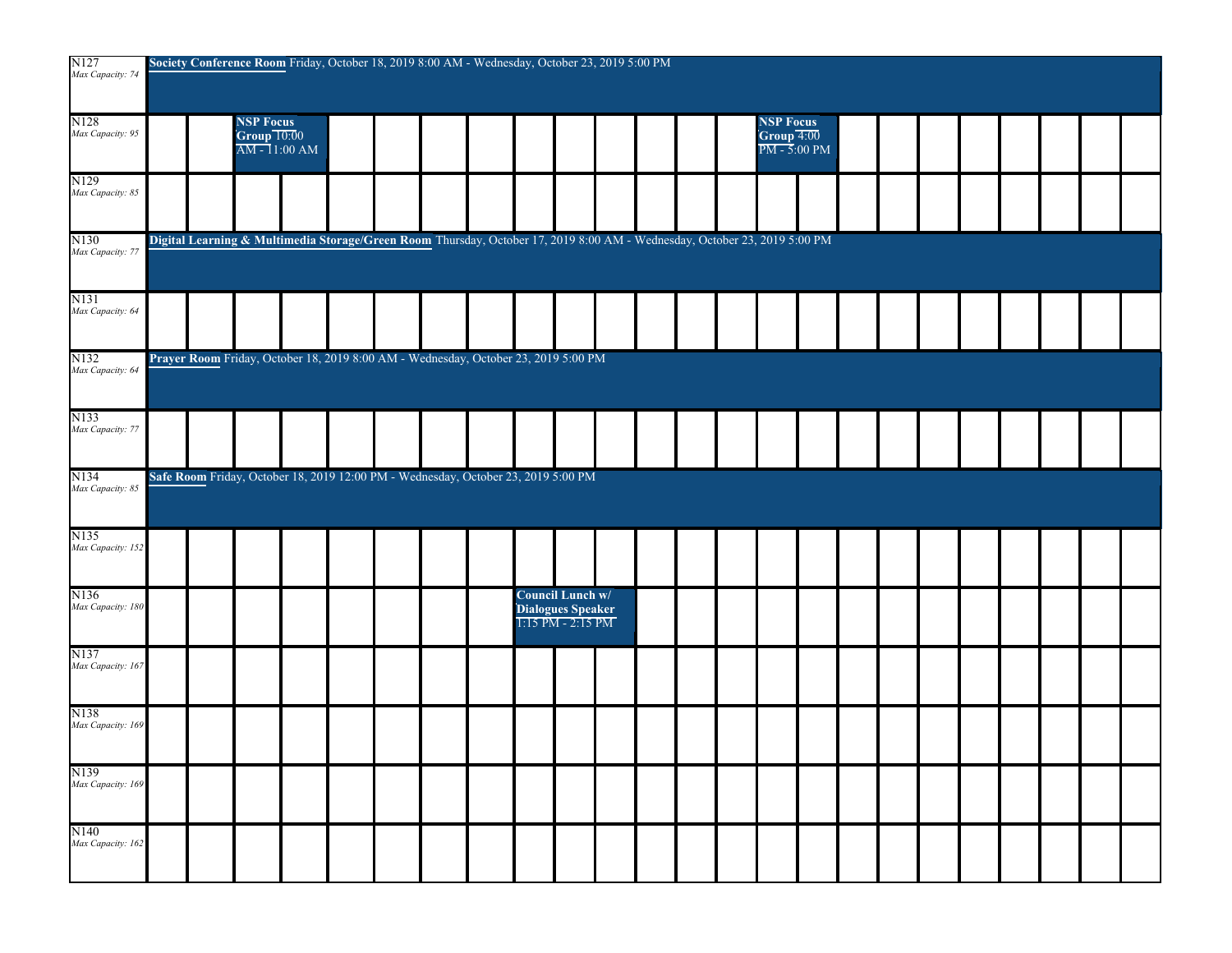| N127<br>Max Capacity: 74              |  | Society Conference Room Friday, October 18, 2019 8:00 AM - Wednesday, October 23, 2019 5:00 PM                            |  |  |  |                                                                |  |  |                                           |  |  |  |  |  |
|---------------------------------------|--|---------------------------------------------------------------------------------------------------------------------------|--|--|--|----------------------------------------------------------------|--|--|-------------------------------------------|--|--|--|--|--|
| N <sub>128</sub><br>Max Capacity: 95  |  | <b>NSP Focus</b><br>Group 10:00<br>$\overline{AM-1}1:00$ AM                                                               |  |  |  |                                                                |  |  | <b>NSP Focus</b><br>$T = 5:00 \text{ PM}$ |  |  |  |  |  |
| N129<br>Max Capacity: 85              |  |                                                                                                                           |  |  |  |                                                                |  |  |                                           |  |  |  |  |  |
| N <sub>130</sub><br>Max Capacity: 77  |  | Digital Learning & Multimedia Storage/Green Room Thursday, October 17, 2019 8:00 AM - Wednesday, October 23, 2019 5:00 PM |  |  |  |                                                                |  |  |                                           |  |  |  |  |  |
| N131<br>Max Capacity: 64              |  |                                                                                                                           |  |  |  |                                                                |  |  |                                           |  |  |  |  |  |
| N132<br>Max Capacity: 64              |  | Prayer Room Friday, October 18, 2019 8:00 AM - Wednesday, October 23, 2019 5:00 PM                                        |  |  |  |                                                                |  |  |                                           |  |  |  |  |  |
| N133<br>Max Capacity: 77              |  |                                                                                                                           |  |  |  |                                                                |  |  |                                           |  |  |  |  |  |
| N134<br>Max Capacity: 85              |  | Safe Room Friday, October 18, 2019 12:00 PM - Wednesday, October 23, 2019 5:00 PM                                         |  |  |  |                                                                |  |  |                                           |  |  |  |  |  |
| N135<br>Max Capacity: 152             |  |                                                                                                                           |  |  |  |                                                                |  |  |                                           |  |  |  |  |  |
| N <sub>136</sub><br>Max Capacity: 180 |  |                                                                                                                           |  |  |  | Council Lunch w/<br>Dialogues Speaker<br>$1:15$ PM - $2:15$ PM |  |  |                                           |  |  |  |  |  |
| N137<br>Max Capacity: 167             |  |                                                                                                                           |  |  |  |                                                                |  |  |                                           |  |  |  |  |  |
| N138<br>Max Capacity: 169             |  |                                                                                                                           |  |  |  |                                                                |  |  |                                           |  |  |  |  |  |
| N <sub>139</sub><br>Max Capacity: 169 |  |                                                                                                                           |  |  |  |                                                                |  |  |                                           |  |  |  |  |  |
| N140<br>Max Capacity: 162             |  |                                                                                                                           |  |  |  |                                                                |  |  |                                           |  |  |  |  |  |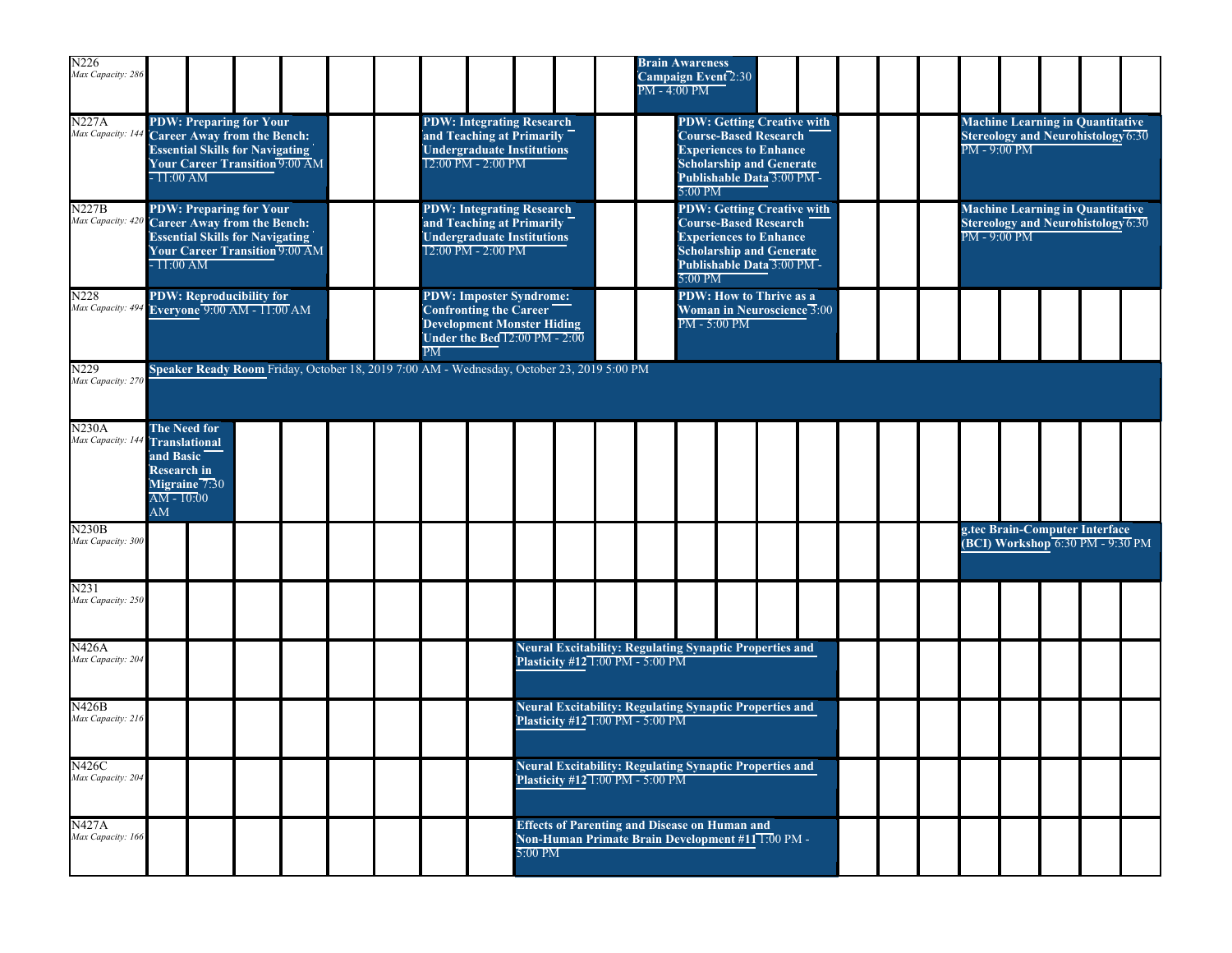| N226<br>Max Capacity: 286                       |                                                           |                                                                                                         |                                                                                                                                                                                                                                                                                      |                                       |  |  |    |                                                                                                                          |         |                                               |  | PM - 4:00 PM | <b>Brain Awareness</b><br>Campaign Event <sup>7</sup> 2:30                                                           |  |                                                                                                                                                                     |  |  |                |                |                                                                               |  |
|-------------------------------------------------|-----------------------------------------------------------|---------------------------------------------------------------------------------------------------------|--------------------------------------------------------------------------------------------------------------------------------------------------------------------------------------------------------------------------------------------------------------------------------------|---------------------------------------|--|--|----|--------------------------------------------------------------------------------------------------------------------------|---------|-----------------------------------------------|--|--------------|----------------------------------------------------------------------------------------------------------------------|--|---------------------------------------------------------------------------------------------------------------------------------------------------------------------|--|--|----------------|----------------|-------------------------------------------------------------------------------|--|
| <b>N227A</b><br>Max Capacity: 144               | $-11:00 AM$                                               | <b>PDW: Preparing for Your</b><br>Career Away from the Bench:<br><b>Essential Skills for Navigating</b> |                                                                                                                                                                                                                                                                                      | <b>Your Career Transition</b> 9:00 AM |  |  |    | <b>PDW: Integrating Research</b><br>and Teaching at Primarily<br><b>Undergraduate Institutions</b><br>12:00 PM - 2:00 PM |         |                                               |  |              | 5:00 PM                                                                                                              |  | <b>PDW: Getting Creative with</b><br><b>Course-Based Research</b><br><b>Experiences to Enhance</b><br><b>Scholarship and Generate</b><br>Publishable Data 3:00 PM - |  |  |                | $PM - 9:00 PM$ | <b>Machine Learning in Quantitative</b><br>Stereology and Neurohistology 6:30 |  |
| <b>N227B</b><br>Max Capacity: 420               | $-11.00$ AM                                               | <b>PDW: Preparing for Your</b><br>Career Away from the Bench:<br><b>Essential Skills for Navigating</b> |                                                                                                                                                                                                                                                                                      | Your Career Transition 9:00 AM        |  |  |    | <b>PDW: Integrating Research</b><br>and Teaching at Primarily<br><b>Undergraduate Institutions</b><br>12:00 PM - 2:00 PM |         |                                               |  |              | 5:00 PM                                                                                                              |  | <b>PDW: Getting Creative with</b><br><b>Course-Based Research</b><br><b>Experiences to Enhance</b><br><b>Scholarship and Generate</b><br>Publishable Data 3:00 PM - |  |  | $PM - 9:00 PM$ |                | <b>Machine Learning in Quantitative</b><br>Stereology and Neurohistology 6:30 |  |
| N228<br>Max Capacity: 494                       |                                                           |                                                                                                         |                                                                                                                                                                                                                                                                                      |                                       |  |  | PM |                                                                                                                          |         |                                               |  |              |                                                                                                                      |  |                                                                                                                                                                     |  |  |                |                |                                                                               |  |
| N229<br>Max Capacity: 270                       |                                                           |                                                                                                         | PM - 5:00 PM<br><b>Development Monster Hiding</b><br>Under the Bed $\overline{12:00}$ PM - $2:\overline{00}$                                                                                                                                                                         |                                       |  |  |    |                                                                                                                          |         |                                               |  |              |                                                                                                                      |  |                                                                                                                                                                     |  |  |                |                |                                                                               |  |
| <b>N230A</b><br>Max Capacity: 144 Translational | and Basic<br>Research in<br>$\overline{AM} - 10:00$<br>AM | <b>The Need for</b><br>Migraine 7:30                                                                    | <b>PDW: Reproducibility for</b><br><b>PDW: Imposter Syndrome:</b><br>PDW: How to Thrive as a<br>Everyone $9:00$ AM - $11:00$ AM<br>Confronting the Career<br>Woman in Neuroscience 3:00<br>Speaker Ready Room Friday, October 18, 2019 7:00 AM - Wednesday, October 23, 2019 5:00 PM |                                       |  |  |    |                                                                                                                          |         |                                               |  |              |                                                                                                                      |  |                                                                                                                                                                     |  |  |                |                |                                                                               |  |
| N230B<br>Max Capacity: 300                      |                                                           |                                                                                                         |                                                                                                                                                                                                                                                                                      |                                       |  |  |    |                                                                                                                          |         |                                               |  |              |                                                                                                                      |  |                                                                                                                                                                     |  |  |                |                | g.tec Brain-Computer Interface<br>(BCI) Workshop 6:30 PM - 9:30 PM            |  |
| N231<br>Max Capacity: 250                       |                                                           |                                                                                                         |                                                                                                                                                                                                                                                                                      |                                       |  |  |    |                                                                                                                          |         |                                               |  |              |                                                                                                                      |  |                                                                                                                                                                     |  |  |                |                |                                                                               |  |
| N426A<br>Max Capacity: 204                      |                                                           |                                                                                                         |                                                                                                                                                                                                                                                                                      |                                       |  |  |    |                                                                                                                          |         | Plasticity #12 1:00 PM - 5:00 PM              |  |              | Neural Excitability: Regulating Synaptic Properties and                                                              |  |                                                                                                                                                                     |  |  |                |                |                                                                               |  |
| N426B<br>Max Capacity: 216                      |                                                           |                                                                                                         |                                                                                                                                                                                                                                                                                      |                                       |  |  |    |                                                                                                                          |         | Plasticity #12 1:00 PM - 5:00 PM              |  |              | <b>Neural Excitability: Regulating Synaptic Properties and</b>                                                       |  |                                                                                                                                                                     |  |  |                |                |                                                                               |  |
| N426C<br>Max Capacity: 204                      |                                                           |                                                                                                         |                                                                                                                                                                                                                                                                                      |                                       |  |  |    |                                                                                                                          |         | Plasticity #12 $\overline{1:00}$ PM - 5:00 PM |  |              | <b>Neural Excitability: Regulating Synaptic Properties and</b>                                                       |  |                                                                                                                                                                     |  |  |                |                |                                                                               |  |
| N427A<br>Max Capacity: 166                      |                                                           |                                                                                                         |                                                                                                                                                                                                                                                                                      |                                       |  |  |    |                                                                                                                          | 5:00 PM |                                               |  |              | <b>Effects of Parenting and Disease on Human and</b><br>Non-Human Primate Brain Development #11 <sup>T:00</sup> PM - |  |                                                                                                                                                                     |  |  |                |                |                                                                               |  |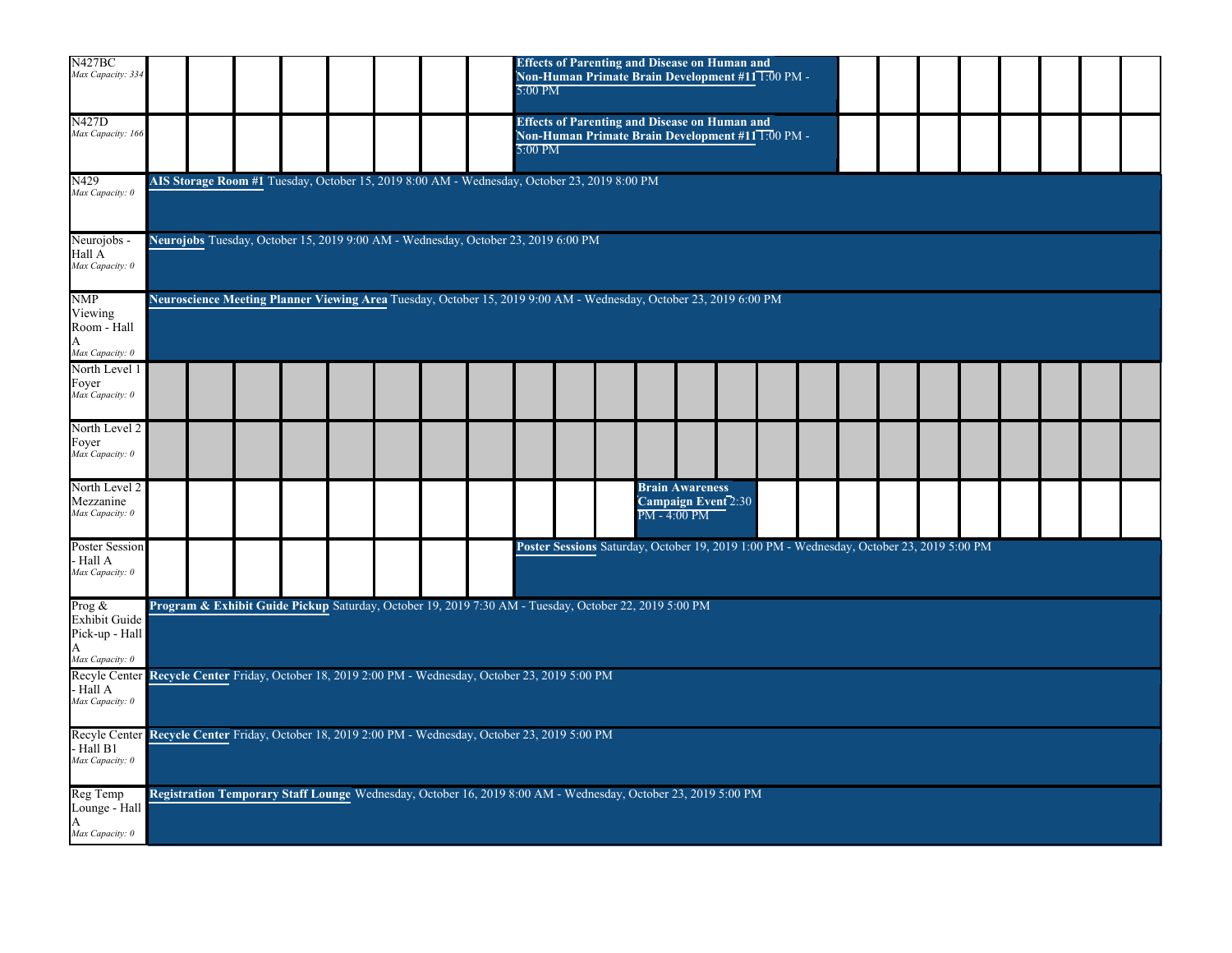| N427BC<br>Max Capacity: 334                                          |                                                                                                                   |  |                                                                                                               |  |  |  |  | 5:00 PM |  |  | <b>Effects of Parenting and Disease on Human and</b><br><b>Non-Human Primate Brain Development #11 1:00 PM -</b> |                                               |  |  |  |  |  |  |  |  |
|----------------------------------------------------------------------|-------------------------------------------------------------------------------------------------------------------|--|---------------------------------------------------------------------------------------------------------------|--|--|--|--|---------|--|--|------------------------------------------------------------------------------------------------------------------|-----------------------------------------------|--|--|--|--|--|--|--|--|
| N427D<br>Max Capacity: 166                                           |                                                                                                                   |  |                                                                                                               |  |  |  |  | 5:00 PM |  |  | <b>Effects of Parenting and Disease on Human and</b><br>Non-Human Primate Brain Development #11 T:00 PM -        |                                               |  |  |  |  |  |  |  |  |
| N429<br>Max Capacity: 0                                              |                                                                                                                   |  | AIS Storage Room #1 Tuesday, October 15, 2019 8:00 AM - Wednesday, October 23, 2019 8:00 PM                   |  |  |  |  |         |  |  |                                                                                                                  |                                               |  |  |  |  |  |  |  |  |
| Neurojobs -<br>Hall A<br>Max Capacity: 0                             |                                                                                                                   |  | Neurojobs Tuesday, October 15, 2019 9:00 AM - Wednesday, October 23, 2019 6:00 PM                             |  |  |  |  |         |  |  |                                                                                                                  |                                               |  |  |  |  |  |  |  |  |
| <b>NMP</b><br>Viewing<br>Room - Hall<br>A<br>Max Capacity: 0         | Neuroscience Meeting Planner Viewing Area Tuesday, October 15, 2019 9:00 AM - Wednesday, October 23, 2019 6:00 PM |  |                                                                                                               |  |  |  |  |         |  |  |                                                                                                                  |                                               |  |  |  |  |  |  |  |  |
| North Level 1<br>Foyer<br>Max Capacity: 0                            |                                                                                                                   |  |                                                                                                               |  |  |  |  |         |  |  |                                                                                                                  |                                               |  |  |  |  |  |  |  |  |
| North Level 2<br>Foyer<br>Max Capacity: 0                            |                                                                                                                   |  |                                                                                                               |  |  |  |  |         |  |  |                                                                                                                  |                                               |  |  |  |  |  |  |  |  |
| North Level 2<br>Mezzanine<br>Max Capacity: 0                        |                                                                                                                   |  |                                                                                                               |  |  |  |  |         |  |  | PM - 4:00 PM                                                                                                     | <b>Brain Awareness</b><br>Campaign Event 2:30 |  |  |  |  |  |  |  |  |
| Poster Session<br>· Hall A<br>Max Capacity: 0                        |                                                                                                                   |  |                                                                                                               |  |  |  |  |         |  |  | Poster Sessions Saturday, October 19, 2019 1:00 PM - Wednesday, October 23, 2019 5:00 PM                         |                                               |  |  |  |  |  |  |  |  |
| Prog $\&$<br>Exhibit Guide<br>Pick-up - Hall<br>A<br>Max Capacity: 0 |                                                                                                                   |  | Program & Exhibit Guide Pickup Saturday, October 19, 2019 7:30 AM - Tuesday, October 22, 2019 5:00 PM         |  |  |  |  |         |  |  |                                                                                                                  |                                               |  |  |  |  |  |  |  |  |
| Recyle Center<br>Hall A<br>Max Capacity: 0                           |                                                                                                                   |  | Recycle Center Friday, October 18, 2019 2:00 PM - Wednesday, October 23, 2019 5:00 PM                         |  |  |  |  |         |  |  |                                                                                                                  |                                               |  |  |  |  |  |  |  |  |
| Recyle Center<br>Hall B1<br>Max Capacity: 0                          |                                                                                                                   |  | Recycle Center Friday, October 18, 2019 2:00 PM - Wednesday, October 23, 2019 5:00 PM                         |  |  |  |  |         |  |  |                                                                                                                  |                                               |  |  |  |  |  |  |  |  |
| Reg Temp<br>Lounge - Hall<br>A<br>Max Capacity: 0                    |                                                                                                                   |  | Registration Temporary Staff Lounge Wednesday, October 16, 2019 8:00 AM - Wednesday, October 23, 2019 5:00 PM |  |  |  |  |         |  |  |                                                                                                                  |                                               |  |  |  |  |  |  |  |  |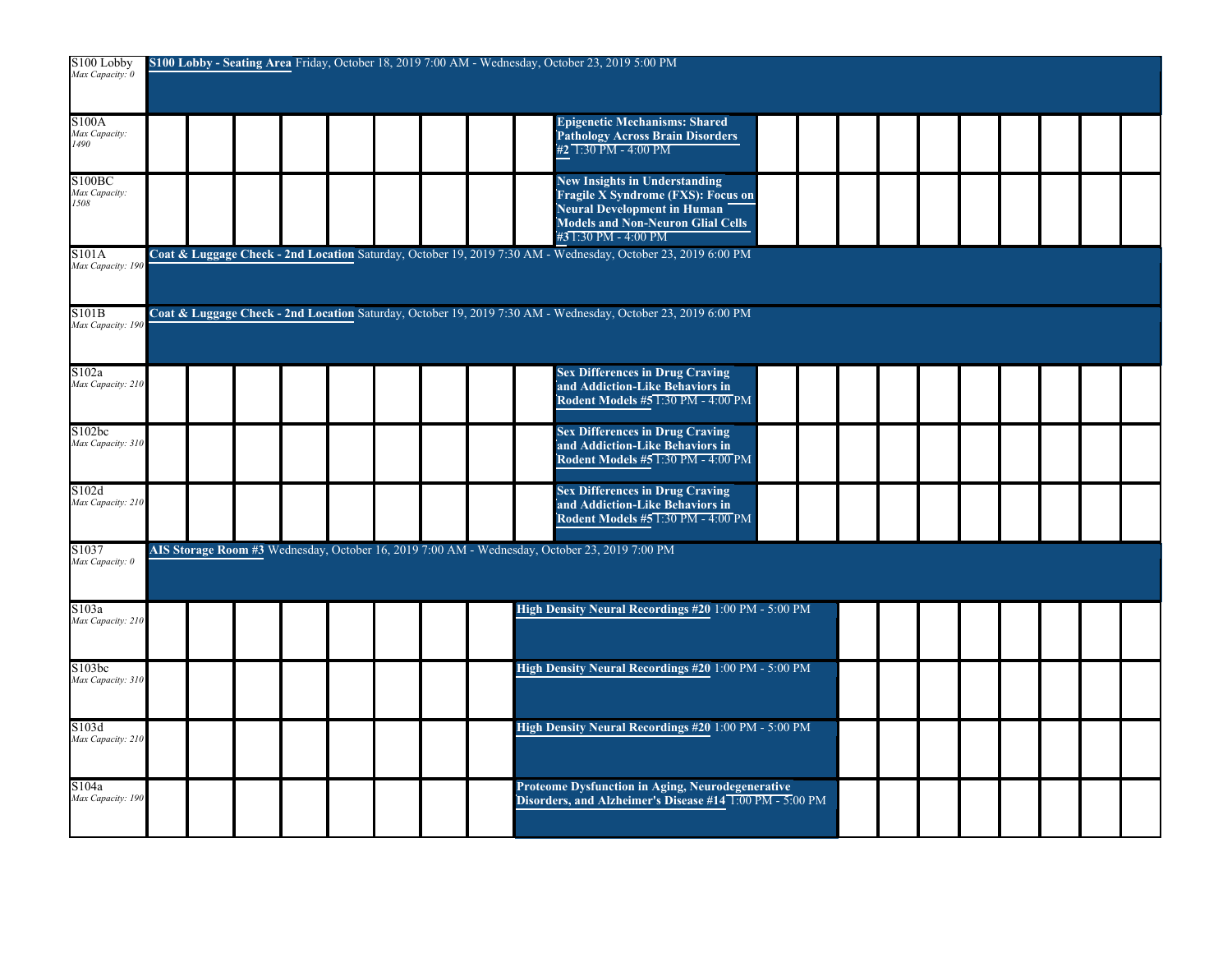| S100 Lobby<br>Max Capacity: 0        |  |  |  |  |  |  |  |                                                                                                                     | S100 Lobby - Seating Area Friday, October 18, 2019 7:00 AM - Wednesday, October 23, 2019 5:00 PM                                                                              |  |  |  |  |  |  |  |  |  |  |  |
|--------------------------------------|--|--|--|--|--|--|--|---------------------------------------------------------------------------------------------------------------------|-------------------------------------------------------------------------------------------------------------------------------------------------------------------------------|--|--|--|--|--|--|--|--|--|--|--|
| S100A<br>Max Capacity:<br>1490       |  |  |  |  |  |  |  |                                                                                                                     | <b>Epigenetic Mechanisms: Shared</b><br><b>Pathology Across Brain Disorders</b><br>#2 1:30 PM - 4:00 PM                                                                       |  |  |  |  |  |  |  |  |  |  |  |
| S100BC<br>Max Capacity:<br>1508      |  |  |  |  |  |  |  |                                                                                                                     | <b>New Insights in Understanding</b><br>Fragile $\bar{X}$ Syndrome (FXS): Focus on<br>Neural Development in Human<br>Models and Non-Neuron Glial Cells<br>#31:30 PM - 4:00 PM |  |  |  |  |  |  |  |  |  |  |  |
| S101A<br>Max Capacity: 190           |  |  |  |  |  |  |  |                                                                                                                     | Coat & Luggage Check - 2nd Location Saturday, October 19, 2019 7:30 AM - Wednesday, October 23, 2019 6:00 PM                                                                  |  |  |  |  |  |  |  |  |  |  |  |
| S101B<br>Max Capacity: 19            |  |  |  |  |  |  |  |                                                                                                                     | Coat & Luggage Check - 2nd Location Saturday, October 19, 2019 7:30 AM - Wednesday, October 23, 2019 6:00 PM                                                                  |  |  |  |  |  |  |  |  |  |  |  |
| S102a<br>Max Capacity: 210           |  |  |  |  |  |  |  | <b>Sex Differences in Drug Craving</b><br>and Addiction-Like Behaviors in<br>Rodent Models #5 1:30 PM - 4:00 PM     |                                                                                                                                                                               |  |  |  |  |  |  |  |  |  |  |  |
| S102bc<br>Max Capacity: 310          |  |  |  |  |  |  |  |                                                                                                                     | <b>Sex Differences in Drug Craving</b><br>and Addiction-Like Behaviors in<br>Rodent Models #5 1:30 PM - 4:00 PM                                                               |  |  |  |  |  |  |  |  |  |  |  |
| S102d<br>Max Capacity: 210           |  |  |  |  |  |  |  |                                                                                                                     | <b>Sex Differences in Drug Craving</b><br>and Addiction-Like Behaviors in<br><b>Rodent Models #5 1:30 PM - 4:00 PM</b>                                                        |  |  |  |  |  |  |  |  |  |  |  |
| S <sub>1037</sub><br>Max Capacity: 0 |  |  |  |  |  |  |  |                                                                                                                     | AIS Storage Room #3 Wednesday, October 16, 2019 7:00 AM - Wednesday, October 23, 2019 7:00 PM                                                                                 |  |  |  |  |  |  |  |  |  |  |  |
| S103a<br>Max Capacity: 210           |  |  |  |  |  |  |  |                                                                                                                     | High Density Neural Recordings #20 1:00 PM - 5:00 PM                                                                                                                          |  |  |  |  |  |  |  |  |  |  |  |
| S103bc<br>Max Capacity: 310          |  |  |  |  |  |  |  |                                                                                                                     | High Density Neural Recordings #20 1:00 PM - 5:00 PM                                                                                                                          |  |  |  |  |  |  |  |  |  |  |  |
| S103d<br>Max Capacity: 210           |  |  |  |  |  |  |  | High Density Neural Recordings #20 1:00 PM - 5:00 PM                                                                |                                                                                                                                                                               |  |  |  |  |  |  |  |  |  |  |  |
| S104a<br>Max Capacity: 190           |  |  |  |  |  |  |  | <b>Proteome Dysfunction in Aging, Neurodegenerative</b><br>Disorders, and Alzheimer's Disease #14 1:00 PM - 5:00 PM |                                                                                                                                                                               |  |  |  |  |  |  |  |  |  |  |  |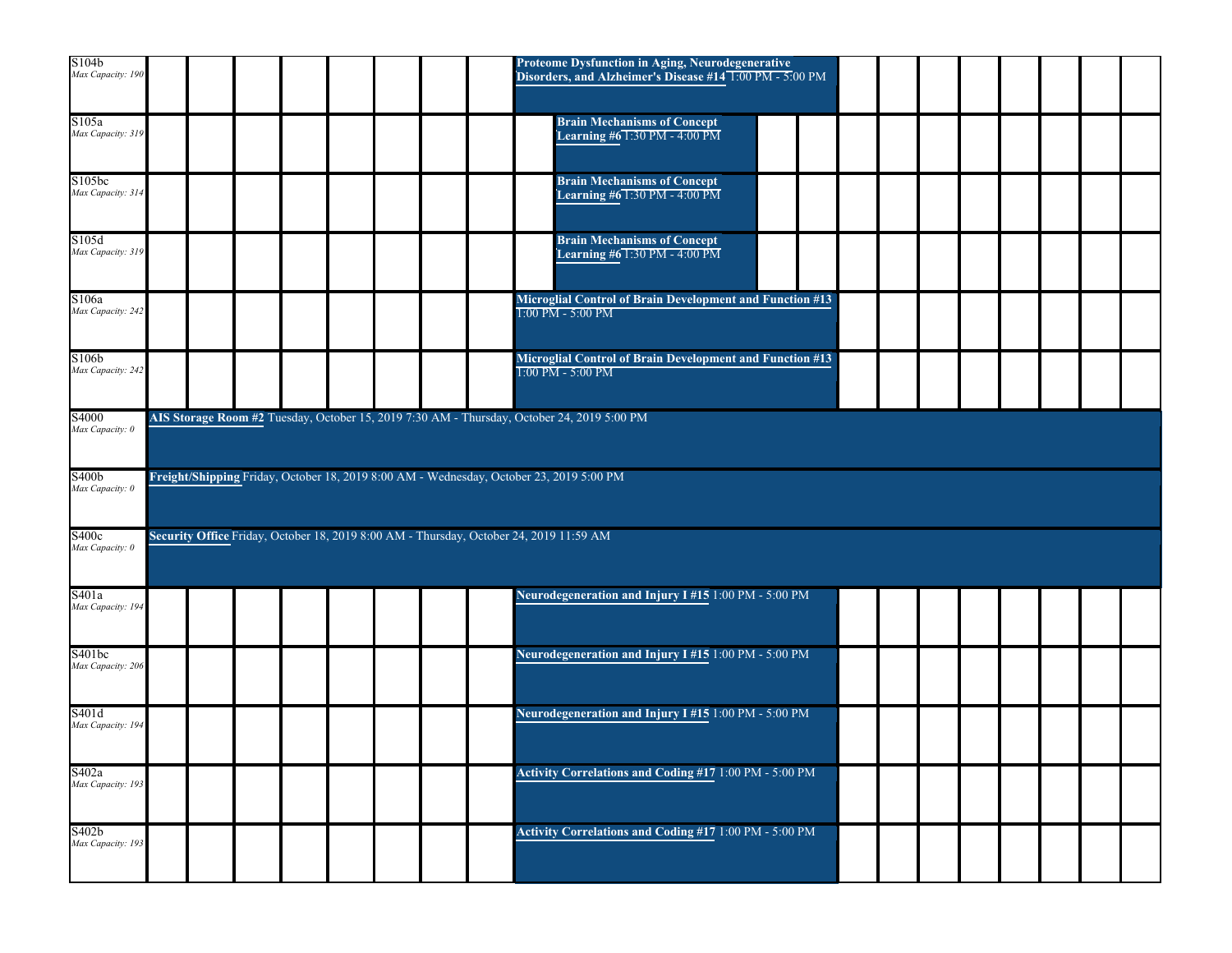| S104b<br>Max Capacity: 190  |  |  |  | Proteome Dysfunction in Aging, Neurodegenerative<br>Disorders, and Alzheimer's Disease #14 1:00 PM - 5:00 PM |
|-----------------------------|--|--|--|--------------------------------------------------------------------------------------------------------------|
| S105a<br>Max Capacity: 319  |  |  |  | <b>Brain Mechanisms of Concept</b><br>Learning #6 1:30 PM - 4:00 PM                                          |
| S105bc<br>Max Capacity: 314 |  |  |  | <b>Brain Mechanisms of Concept</b><br>Learning #61:30 PM - 4:00 PM                                           |
| S105d<br>Max Capacity: 319  |  |  |  | <b>Brain Mechanisms of Concept</b><br>Learning #61:30 PM - 4:00 PM                                           |
| S106a<br>Max Capacity: 242  |  |  |  | Microglial Control of Brain Development and Function #13<br>1:00 PM - 5:00 PM                                |
| S106b<br>Max Capacity: 242  |  |  |  | Microglial Control of Brain Development and Function #13<br>1:00 PM - 5:00 PM                                |
| S4000<br>Max Capacity: 0    |  |  |  | AIS Storage Room #2 Tuesday, October 15, 2019 7:30 AM - Thursday, October 24, 2019 5:00 PM                   |
| S400b<br>Max Capacity: 0    |  |  |  | Freight/Shipping Friday, October 18, 2019 8:00 AM - Wednesday, October 23, 2019 5:00 PM                      |
| S400c<br>Max Capacity: 0    |  |  |  | Security Office Friday, October 18, 2019 8:00 AM - Thursday, October 24, 2019 11:59 AM                       |
| S401a<br>Max Capacity: 194  |  |  |  | Neurodegeneration and Injury I #15 1:00 PM - 5:00 PM                                                         |
| S401bc<br>Max Capacity: 206 |  |  |  | Neurodegeneration and Injury I #15 1:00 PM - 5:00 PM                                                         |
| S401d<br>Max Capacity: 194  |  |  |  | Neurodegeneration and Injury I #15 1:00 PM - 5:00 PM                                                         |
| S402a<br>Max Capacity: 193  |  |  |  | Activity Correlations and Coding #17 1:00 PM - 5:00 PM                                                       |
| S402b<br>Max Capacity: 193  |  |  |  | Activity Correlations and Coding #17 1:00 PM - 5:00 PM                                                       |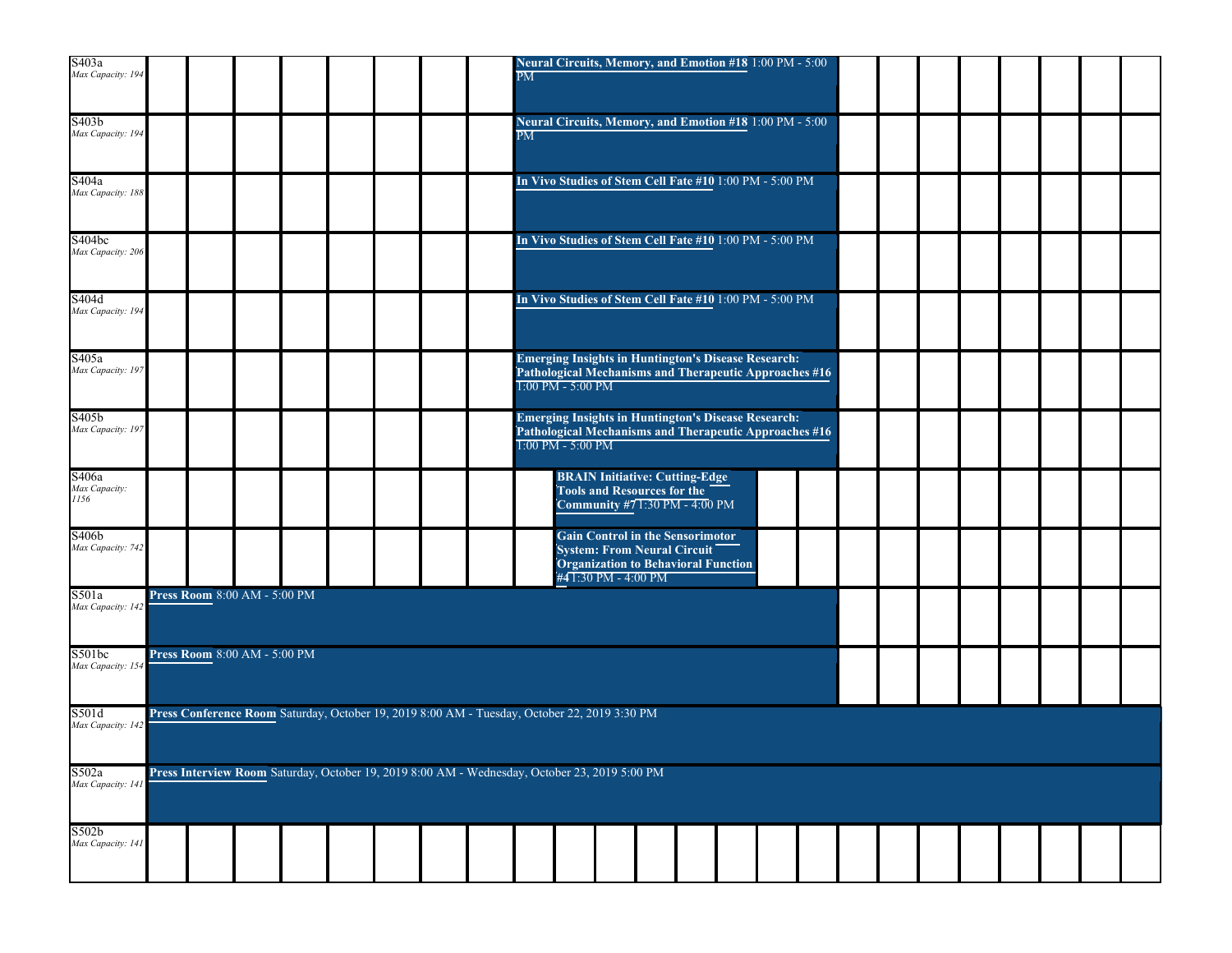| S403a<br>Max Capacity: 194             |  |                                     |  |  |                                                                                               | $\overline{\text{PM}}$ |                     | Neural Circuits, Memory, and Emotion #18 1:00 PM - 5:00                                                                                     |  |  |  |  |  |  |  |
|----------------------------------------|--|-------------------------------------|--|--|-----------------------------------------------------------------------------------------------|------------------------|---------------------|---------------------------------------------------------------------------------------------------------------------------------------------|--|--|--|--|--|--|--|
| S403 <sub>b</sub><br>Max Capacity: 194 |  |                                     |  |  |                                                                                               | $\overline{\text{PM}}$ |                     | Neural Circuits, Memory, and Emotion #18 1:00 PM - 5:00                                                                                     |  |  |  |  |  |  |  |
| S404a<br>Max Capacity: 18              |  |                                     |  |  |                                                                                               |                        |                     | In Vivo Studies of Stem Cell Fate #10 1:00 PM - 5:00 PM                                                                                     |  |  |  |  |  |  |  |
| S404bc<br>Max Capacity: 206            |  |                                     |  |  |                                                                                               |                        |                     | In Vivo Studies of Stem Cell Fate #10 1:00 PM - 5:00 PM                                                                                     |  |  |  |  |  |  |  |
| S404d<br>Max Capacity: 194             |  |                                     |  |  |                                                                                               |                        |                     | In Vivo Studies of Stem Cell Fate #10 1:00 PM - 5:00 PM                                                                                     |  |  |  |  |  |  |  |
| S405a<br>Max Capacity: 197             |  |                                     |  |  |                                                                                               |                        | $1:00$ PM - 5:00 PM | <b>Emerging Insights in Huntington's Disease Research:</b><br>Pathological Mechanisms and Therapeutic Approaches #16                        |  |  |  |  |  |  |  |
| S405b<br>Max Capacity: 197             |  |                                     |  |  |                                                                                               |                        | 1:00 PM - 5:00 PM   | <b>Emerging Insights in Huntington's Disease Research:</b><br>Pathological Mechanisms and Therapeutic Approaches #16                        |  |  |  |  |  |  |  |
| S406a<br>Max Capacity:<br>1156         |  |                                     |  |  |                                                                                               |                        |                     | <b>BRAIN Initiative: Cutting-Edge</b><br><b>Tools and Resources for the</b><br>Community #71:30 PM - 4:00 PM                                |  |  |  |  |  |  |  |
| S406b<br>Max Capacity: 742             |  |                                     |  |  |                                                                                               |                        |                     | <b>Gain Control in the Sensorimotor</b><br><b>System: From Neural Circuit</b><br>Organization to Behavioral Function<br>#41:30 PM - 4:00 PM |  |  |  |  |  |  |  |
| S501a<br>Max Capacity: 14.             |  | <b>Press Room</b> 8:00 AM - 5:00 PM |  |  |                                                                                               |                        |                     |                                                                                                                                             |  |  |  |  |  |  |  |
| S501bc<br>Max Capacity: 15-            |  | Press Room 8:00 AM - 5:00 PM        |  |  |                                                                                               |                        |                     |                                                                                                                                             |  |  |  |  |  |  |  |
| S501d<br>Max Capacity: 14.             |  |                                     |  |  | Press Conference Room Saturday, October 19, 2019 8:00 AM - Tuesday, October 22, 2019 3:30 PM  |                        |                     |                                                                                                                                             |  |  |  |  |  |  |  |
| S502a<br>Max Capacity: 141             |  |                                     |  |  | Press Interview Room Saturday, October 19, 2019 8:00 AM - Wednesday, October 23, 2019 5:00 PM |                        |                     |                                                                                                                                             |  |  |  |  |  |  |  |
| S502b<br>Max Capacity: 141             |  |                                     |  |  |                                                                                               |                        |                     |                                                                                                                                             |  |  |  |  |  |  |  |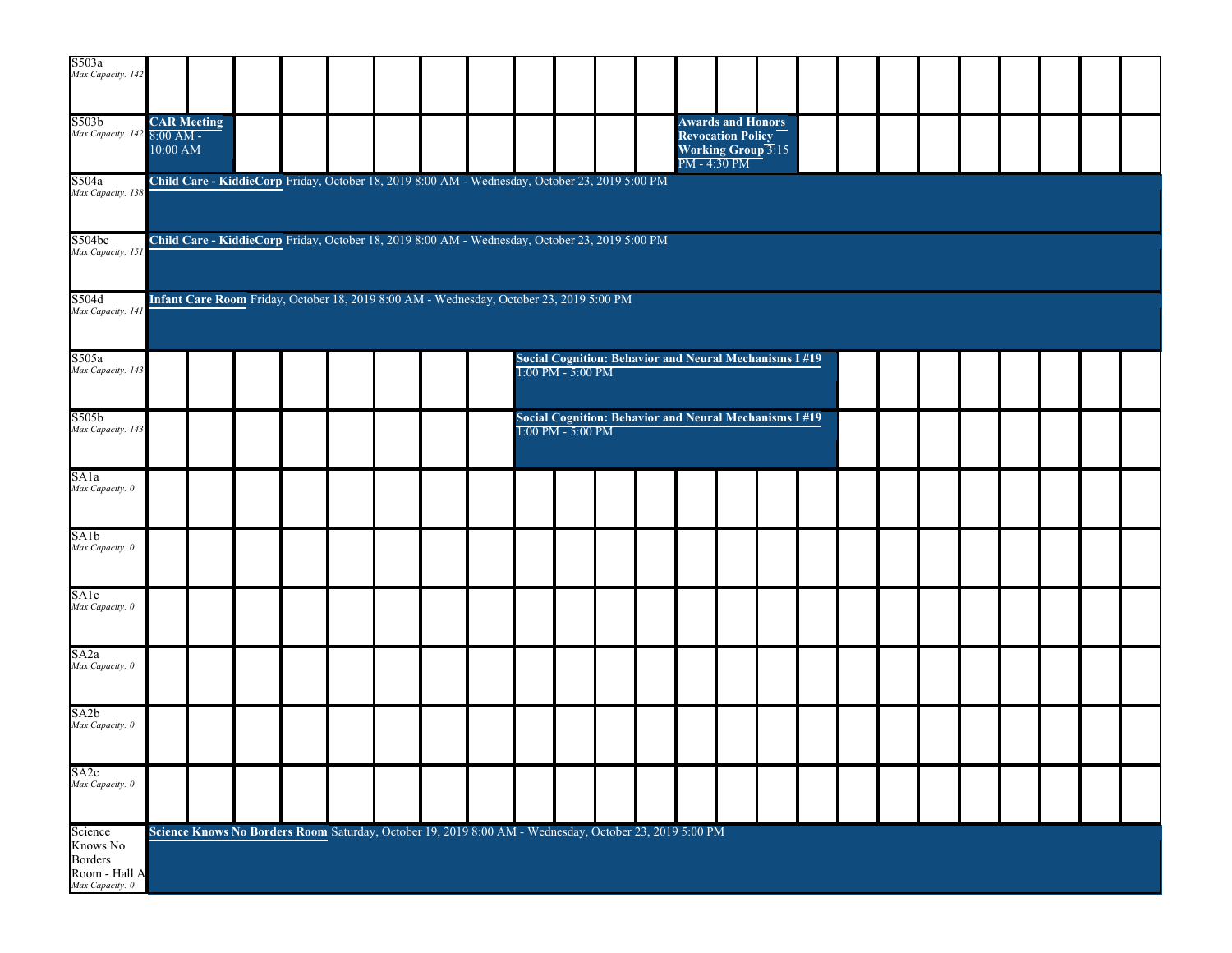| S503a<br>Max Capacity: 142                                         |                                                                                         |  |                                                                                                        |  |  |  |  |  |                                                                                   |  |  |  |                                                                       |                          |  |  |  |  |  |  |  |
|--------------------------------------------------------------------|-----------------------------------------------------------------------------------------|--|--------------------------------------------------------------------------------------------------------|--|--|--|--|--|-----------------------------------------------------------------------------------|--|--|--|-----------------------------------------------------------------------|--------------------------|--|--|--|--|--|--|--|
| S503b<br>Max Capacity: 142 8:00 AM -                               | <b>CAR Meeting</b><br>$10:00$ AM                                                        |  |                                                                                                        |  |  |  |  |  |                                                                                   |  |  |  | <b>Revocation Policy</b><br><b>Working Group 3:15</b><br>PM - 4:30 PM | <b>Awards and Honors</b> |  |  |  |  |  |  |  |
| S504a<br>Max Capacity: 138                                         |                                                                                         |  | Child Care - KiddieCorp Friday, October 18, 2019 8:00 AM - Wednesday, October 23, 2019 5:00 PM         |  |  |  |  |  |                                                                                   |  |  |  |                                                                       |                          |  |  |  |  |  |  |  |
| S504bc<br>Max Capacity: 151                                        |                                                                                         |  | Child Care - KiddieCorp Friday, October 18, 2019 8:00 AM - Wednesday, October 23, 2019 5:00 PM         |  |  |  |  |  |                                                                                   |  |  |  |                                                                       |                          |  |  |  |  |  |  |  |
| S504d<br>Max Capacity: 141                                         | Infant Care Room Friday, October 18, 2019 8:00 AM - Wednesday, October 23, 2019 5:00 PM |  |                                                                                                        |  |  |  |  |  |                                                                                   |  |  |  |                                                                       |                          |  |  |  |  |  |  |  |
| S505a<br>Max Capacity: 143                                         | <b>Social Cognition: Behavior and Neural Mechanisms I#19</b><br>1:00 PM - 5:00 PM       |  |                                                                                                        |  |  |  |  |  |                                                                                   |  |  |  |                                                                       |                          |  |  |  |  |  |  |  |
| S505b<br>Max Capacity: 143                                         |                                                                                         |  |                                                                                                        |  |  |  |  |  | <b>Social Cognition: Behavior and Neural Mechanisms I#19</b><br>1:00 PM - 5:00 PM |  |  |  |                                                                       |                          |  |  |  |  |  |  |  |
| SAla<br>Max Capacity: 0                                            |                                                                                         |  |                                                                                                        |  |  |  |  |  |                                                                                   |  |  |  |                                                                       |                          |  |  |  |  |  |  |  |
| SAlb<br>Max Capacity: 0                                            |                                                                                         |  |                                                                                                        |  |  |  |  |  |                                                                                   |  |  |  |                                                                       |                          |  |  |  |  |  |  |  |
| SAlc<br>Max Capacity: 0                                            |                                                                                         |  |                                                                                                        |  |  |  |  |  |                                                                                   |  |  |  |                                                                       |                          |  |  |  |  |  |  |  |
| SA <sub>2a</sub><br>Max Capacity: 0                                |                                                                                         |  |                                                                                                        |  |  |  |  |  |                                                                                   |  |  |  |                                                                       |                          |  |  |  |  |  |  |  |
| SA <sub>2</sub> b<br>Max Capacity: 0                               |                                                                                         |  |                                                                                                        |  |  |  |  |  |                                                                                   |  |  |  |                                                                       |                          |  |  |  |  |  |  |  |
| SA2c<br>Max Capacity: 0                                            |                                                                                         |  |                                                                                                        |  |  |  |  |  |                                                                                   |  |  |  |                                                                       |                          |  |  |  |  |  |  |  |
| Science<br>Knows No<br>Borders<br>Room - Hall A<br>Max Capacity: 0 |                                                                                         |  | Science Knows No Borders Room Saturday, October 19, 2019 8:00 AM - Wednesday, October 23, 2019 5:00 PM |  |  |  |  |  |                                                                                   |  |  |  |                                                                       |                          |  |  |  |  |  |  |  |